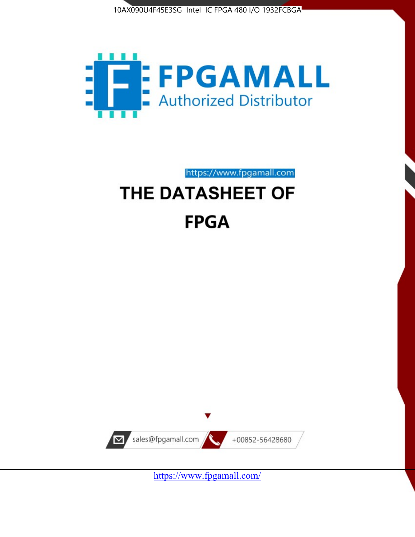



https://www.fpgamall.com

# THE DATASHEET OF **FPGA**



<https://www.fpgamall.com/>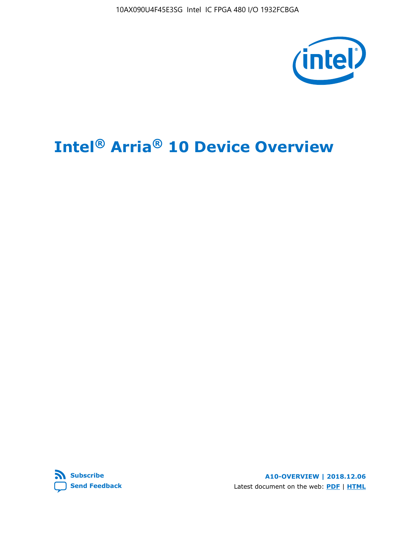10AX090U4F45E3SG Intel IC FPGA 480 I/O 1932FCBGA



# **Intel® Arria® 10 Device Overview**



**A10-OVERVIEW | 2018.12.06** Latest document on the web: **[PDF](https://www.intel.com/content/dam/www/programmable/us/en/pdfs/literature/hb/arria-10/a10_overview.pdf)** | **[HTML](https://www.intel.com/content/www/us/en/programmable/documentation/sam1403480274650.html)**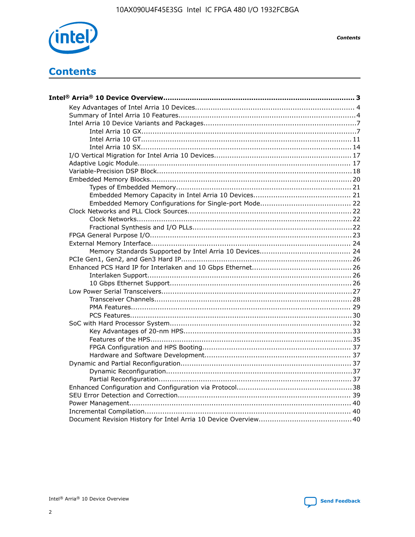

**Contents** 

# **Contents**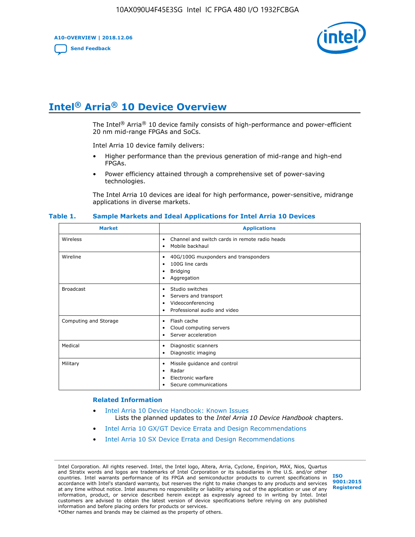**A10-OVERVIEW | 2018.12.06**

**[Send Feedback](mailto:FPGAtechdocfeedback@intel.com?subject=Feedback%20on%20Intel%20Arria%2010%20Device%20Overview%20(A10-OVERVIEW%202018.12.06)&body=We%20appreciate%20your%20feedback.%20In%20your%20comments,%20also%20specify%20the%20page%20number%20or%20paragraph.%20Thank%20you.)**



# **Intel® Arria® 10 Device Overview**

The Intel<sup>®</sup> Arria<sup>®</sup> 10 device family consists of high-performance and power-efficient 20 nm mid-range FPGAs and SoCs.

Intel Arria 10 device family delivers:

- Higher performance than the previous generation of mid-range and high-end FPGAs.
- Power efficiency attained through a comprehensive set of power-saving technologies.

The Intel Arria 10 devices are ideal for high performance, power-sensitive, midrange applications in diverse markets.

| <b>Market</b>         | <b>Applications</b>                                                                                               |
|-----------------------|-------------------------------------------------------------------------------------------------------------------|
| Wireless              | Channel and switch cards in remote radio heads<br>٠<br>Mobile backhaul<br>٠                                       |
| Wireline              | 40G/100G muxponders and transponders<br>٠<br>100G line cards<br>٠<br><b>Bridging</b><br>٠<br>Aggregation<br>٠     |
| <b>Broadcast</b>      | Studio switches<br>٠<br>Servers and transport<br>٠<br>Videoconferencing<br>٠<br>Professional audio and video<br>٠ |
| Computing and Storage | Flash cache<br>٠<br>Cloud computing servers<br>٠<br>Server acceleration<br>٠                                      |
| Medical               | Diagnostic scanners<br>٠<br>Diagnostic imaging<br>٠                                                               |
| Military              | Missile guidance and control<br>٠<br>Radar<br>٠<br>Electronic warfare<br>٠<br>Secure communications<br>٠          |

#### **Table 1. Sample Markets and Ideal Applications for Intel Arria 10 Devices**

#### **Related Information**

- [Intel Arria 10 Device Handbook: Known Issues](http://www.altera.com/support/kdb/solutions/rd07302013_646.html) Lists the planned updates to the *Intel Arria 10 Device Handbook* chapters.
- [Intel Arria 10 GX/GT Device Errata and Design Recommendations](https://www.intel.com/content/www/us/en/programmable/documentation/agz1493851706374.html#yqz1494433888646)
- [Intel Arria 10 SX Device Errata and Design Recommendations](https://www.intel.com/content/www/us/en/programmable/documentation/cru1462832385668.html#cru1462832558642)

Intel Corporation. All rights reserved. Intel, the Intel logo, Altera, Arria, Cyclone, Enpirion, MAX, Nios, Quartus and Stratix words and logos are trademarks of Intel Corporation or its subsidiaries in the U.S. and/or other countries. Intel warrants performance of its FPGA and semiconductor products to current specifications in accordance with Intel's standard warranty, but reserves the right to make changes to any products and services at any time without notice. Intel assumes no responsibility or liability arising out of the application or use of any information, product, or service described herein except as expressly agreed to in writing by Intel. Intel customers are advised to obtain the latest version of device specifications before relying on any published information and before placing orders for products or services. \*Other names and brands may be claimed as the property of others.

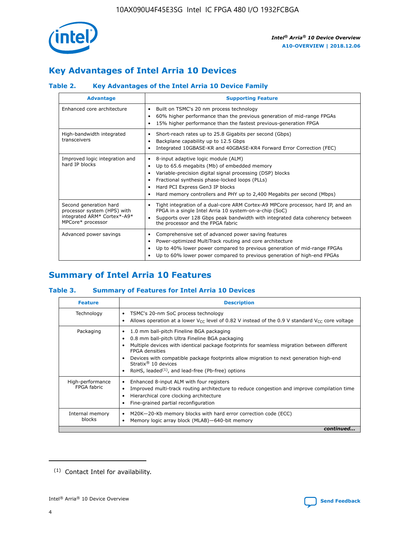

# **Key Advantages of Intel Arria 10 Devices**

# **Table 2. Key Advantages of the Intel Arria 10 Device Family**

| <b>Advantage</b>                                                                                          | <b>Supporting Feature</b>                                                                                                                                                                                                                                                                                                |
|-----------------------------------------------------------------------------------------------------------|--------------------------------------------------------------------------------------------------------------------------------------------------------------------------------------------------------------------------------------------------------------------------------------------------------------------------|
| Enhanced core architecture                                                                                | Built on TSMC's 20 nm process technology<br>٠<br>60% higher performance than the previous generation of mid-range FPGAs<br>٠<br>15% higher performance than the fastest previous-generation FPGA<br>٠                                                                                                                    |
| High-bandwidth integrated<br>transceivers                                                                 | Short-reach rates up to 25.8 Gigabits per second (Gbps)<br>٠<br>Backplane capability up to 12.5 Gbps<br>٠<br>Integrated 10GBASE-KR and 40GBASE-KR4 Forward Error Correction (FEC)<br>٠                                                                                                                                   |
| Improved logic integration and<br>hard IP blocks                                                          | 8-input adaptive logic module (ALM)<br>٠<br>Up to 65.6 megabits (Mb) of embedded memory<br>٠<br>Variable-precision digital signal processing (DSP) blocks<br>Fractional synthesis phase-locked loops (PLLs)<br>Hard PCI Express Gen3 IP blocks<br>Hard memory controllers and PHY up to 2,400 Megabits per second (Mbps) |
| Second generation hard<br>processor system (HPS) with<br>integrated ARM* Cortex*-A9*<br>MPCore* processor | Tight integration of a dual-core ARM Cortex-A9 MPCore processor, hard IP, and an<br>٠<br>FPGA in a single Intel Arria 10 system-on-a-chip (SoC)<br>Supports over 128 Gbps peak bandwidth with integrated data coherency between<br>$\bullet$<br>the processor and the FPGA fabric                                        |
| Advanced power savings                                                                                    | Comprehensive set of advanced power saving features<br>٠<br>Power-optimized MultiTrack routing and core architecture<br>٠<br>Up to 40% lower power compared to previous generation of mid-range FPGAs<br>Up to 60% lower power compared to previous generation of high-end FPGAs                                         |

# **Summary of Intel Arria 10 Features**

## **Table 3. Summary of Features for Intel Arria 10 Devices**

| <b>Feature</b>                  | <b>Description</b>                                                                                                                                                                                                                                                                                                                                                                                           |
|---------------------------------|--------------------------------------------------------------------------------------------------------------------------------------------------------------------------------------------------------------------------------------------------------------------------------------------------------------------------------------------------------------------------------------------------------------|
| Technology                      | TSMC's 20-nm SoC process technology<br>Allows operation at a lower $V_{\text{CC}}$ level of 0.82 V instead of the 0.9 V standard $V_{\text{CC}}$ core voltage                                                                                                                                                                                                                                                |
| Packaging                       | 1.0 mm ball-pitch Fineline BGA packaging<br>٠<br>0.8 mm ball-pitch Ultra Fineline BGA packaging<br>Multiple devices with identical package footprints for seamless migration between different<br><b>FPGA</b> densities<br>Devices with compatible package footprints allow migration to next generation high-end<br>Stratix <sup>®</sup> 10 devices<br>RoHS, leaded $(1)$ , and lead-free (Pb-free) options |
| High-performance<br>FPGA fabric | Enhanced 8-input ALM with four registers<br>Improved multi-track routing architecture to reduce congestion and improve compilation time<br>Hierarchical core clocking architecture<br>Fine-grained partial reconfiguration                                                                                                                                                                                   |
| Internal memory<br>blocks       | M20K-20-Kb memory blocks with hard error correction code (ECC)<br>Memory logic array block (MLAB)-640-bit memory                                                                                                                                                                                                                                                                                             |
|                                 | continued                                                                                                                                                                                                                                                                                                                                                                                                    |



<sup>(1)</sup> Contact Intel for availability.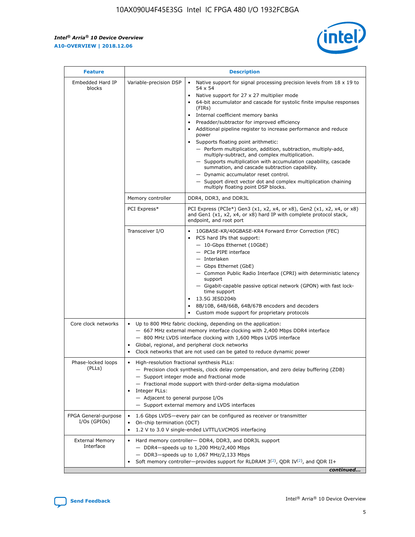r



| <b>Feature</b>                         | <b>Description</b>                                                                                             |                                                                                                                                                                                                                                                                                                                                                                                                                                                                                                                                                                                                                                                                                                                                                                                                                                        |  |  |  |  |  |
|----------------------------------------|----------------------------------------------------------------------------------------------------------------|----------------------------------------------------------------------------------------------------------------------------------------------------------------------------------------------------------------------------------------------------------------------------------------------------------------------------------------------------------------------------------------------------------------------------------------------------------------------------------------------------------------------------------------------------------------------------------------------------------------------------------------------------------------------------------------------------------------------------------------------------------------------------------------------------------------------------------------|--|--|--|--|--|
| Embedded Hard IP<br>blocks             | Variable-precision DSP                                                                                         | Native support for signal processing precision levels from $18 \times 19$ to<br>54 x 54<br>Native support for 27 x 27 multiplier mode<br>64-bit accumulator and cascade for systolic finite impulse responses<br>(FIRs)<br>Internal coefficient memory banks<br>$\bullet$<br>Preadder/subtractor for improved efficiency<br>Additional pipeline register to increase performance and reduce<br>power<br>Supports floating point arithmetic:<br>- Perform multiplication, addition, subtraction, multiply-add,<br>multiply-subtract, and complex multiplication.<br>- Supports multiplication with accumulation capability, cascade<br>summation, and cascade subtraction capability.<br>- Dynamic accumulator reset control.<br>- Support direct vector dot and complex multiplication chaining<br>multiply floating point DSP blocks. |  |  |  |  |  |
|                                        | Memory controller                                                                                              | DDR4, DDR3, and DDR3L                                                                                                                                                                                                                                                                                                                                                                                                                                                                                                                                                                                                                                                                                                                                                                                                                  |  |  |  |  |  |
|                                        | PCI Express*                                                                                                   | PCI Express (PCIe*) Gen3 (x1, x2, x4, or x8), Gen2 (x1, x2, x4, or x8)<br>and Gen1 (x1, x2, x4, or x8) hard IP with complete protocol stack,<br>endpoint, and root port                                                                                                                                                                                                                                                                                                                                                                                                                                                                                                                                                                                                                                                                |  |  |  |  |  |
|                                        | Transceiver I/O                                                                                                | 10GBASE-KR/40GBASE-KR4 Forward Error Correction (FEC)<br>PCS hard IPs that support:<br>$\bullet$<br>- 10-Gbps Ethernet (10GbE)<br>- PCIe PIPE interface<br>$-$ Interlaken<br>- Gbps Ethernet (GbE)<br>- Common Public Radio Interface (CPRI) with deterministic latency<br>support<br>- Gigabit-capable passive optical network (GPON) with fast lock-<br>time support<br>13.5G JESD204b<br>$\bullet$<br>8B/10B, 64B/66B, 64B/67B encoders and decoders<br>Custom mode support for proprietary protocols                                                                                                                                                                                                                                                                                                                               |  |  |  |  |  |
| Core clock networks                    | $\bullet$<br>$\bullet$                                                                                         | Up to 800 MHz fabric clocking, depending on the application:<br>- 667 MHz external memory interface clocking with 2,400 Mbps DDR4 interface<br>- 800 MHz LVDS interface clocking with 1,600 Mbps LVDS interface<br>Global, regional, and peripheral clock networks<br>Clock networks that are not used can be gated to reduce dynamic power                                                                                                                                                                                                                                                                                                                                                                                                                                                                                            |  |  |  |  |  |
| Phase-locked loops<br>(PLLs)           | High-resolution fractional synthesis PLLs:<br>$\bullet$<br>Integer PLLs:<br>- Adjacent to general purpose I/Os | - Precision clock synthesis, clock delay compensation, and zero delay buffering (ZDB)<br>- Support integer mode and fractional mode<br>- Fractional mode support with third-order delta-sigma modulation<br>- Support external memory and LVDS interfaces                                                                                                                                                                                                                                                                                                                                                                                                                                                                                                                                                                              |  |  |  |  |  |
| FPGA General-purpose<br>$I/Os$ (GPIOs) | On-chip termination (OCT)                                                                                      | 1.6 Gbps LVDS-every pair can be configured as receiver or transmitter<br>1.2 V to 3.0 V single-ended LVTTL/LVCMOS interfacing                                                                                                                                                                                                                                                                                                                                                                                                                                                                                                                                                                                                                                                                                                          |  |  |  |  |  |
| <b>External Memory</b><br>Interface    |                                                                                                                | Hard memory controller- DDR4, DDR3, and DDR3L support<br>$-$ DDR4-speeds up to 1,200 MHz/2,400 Mbps<br>- DDR3-speeds up to 1,067 MHz/2,133 Mbps<br>Soft memory controller—provides support for RLDRAM $3^{(2)}$ , QDR IV $^{(2)}$ , and QDR II+<br>continued                                                                                                                                                                                                                                                                                                                                                                                                                                                                                                                                                                           |  |  |  |  |  |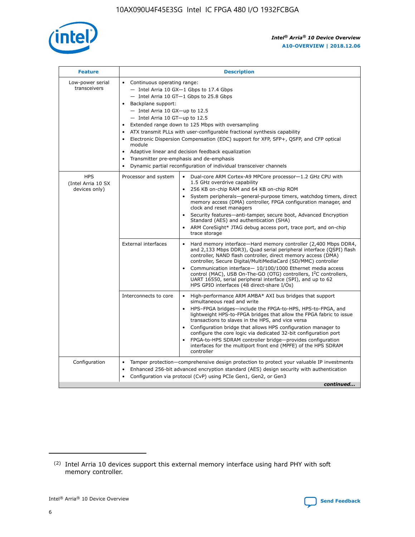

| <b>Feature</b>                                    | <b>Description</b>                                                                                                                                                                                                                                                                                                                                                                                                                                                                                                                                                                                                                         |  |  |  |  |  |  |  |
|---------------------------------------------------|--------------------------------------------------------------------------------------------------------------------------------------------------------------------------------------------------------------------------------------------------------------------------------------------------------------------------------------------------------------------------------------------------------------------------------------------------------------------------------------------------------------------------------------------------------------------------------------------------------------------------------------------|--|--|--|--|--|--|--|
| Low-power serial<br>transceivers                  | • Continuous operating range:<br>- Intel Arria 10 GX-1 Gbps to 17.4 Gbps<br>- Intel Arria 10 GT-1 Gbps to 25.8 Gbps<br>Backplane support:<br>$-$ Intel Arria 10 GX-up to 12.5<br>- Intel Arria 10 GT-up to 12.5<br>Extended range down to 125 Mbps with oversampling<br>ATX transmit PLLs with user-configurable fractional synthesis capability<br>Electronic Dispersion Compensation (EDC) support for XFP, SFP+, QSFP, and CFP optical<br>module<br>• Adaptive linear and decision feedback equalization<br>Transmitter pre-emphasis and de-emphasis<br>$\bullet$<br>Dynamic partial reconfiguration of individual transceiver channels |  |  |  |  |  |  |  |
| <b>HPS</b><br>(Intel Arria 10 SX<br>devices only) | Dual-core ARM Cortex-A9 MPCore processor-1.2 GHz CPU with<br>Processor and system<br>$\bullet$<br>1.5 GHz overdrive capability<br>256 KB on-chip RAM and 64 KB on-chip ROM<br>System peripherals-general-purpose timers, watchdog timers, direct<br>memory access (DMA) controller, FPGA configuration manager, and<br>clock and reset managers<br>Security features-anti-tamper, secure boot, Advanced Encryption<br>$\bullet$<br>Standard (AES) and authentication (SHA)<br>ARM CoreSight* JTAG debug access port, trace port, and on-chip<br>trace storage                                                                              |  |  |  |  |  |  |  |
|                                                   | <b>External interfaces</b><br>Hard memory interface-Hard memory controller (2,400 Mbps DDR4,<br>$\bullet$<br>and 2,133 Mbps DDR3), Quad serial peripheral interface (QSPI) flash<br>controller, NAND flash controller, direct memory access (DMA)<br>controller, Secure Digital/MultiMediaCard (SD/MMC) controller<br>Communication interface-10/100/1000 Ethernet media access<br>$\bullet$<br>control (MAC), USB On-The-GO (OTG) controllers, I <sup>2</sup> C controllers,<br>UART 16550, serial peripheral interface (SPI), and up to 62<br>HPS GPIO interfaces (48 direct-share I/Os)                                                 |  |  |  |  |  |  |  |
|                                                   | High-performance ARM AMBA* AXI bus bridges that support<br>Interconnects to core<br>$\bullet$<br>simultaneous read and write<br>HPS-FPGA bridges-include the FPGA-to-HPS, HPS-to-FPGA, and<br>$\bullet$<br>lightweight HPS-to-FPGA bridges that allow the FPGA fabric to issue<br>transactions to slaves in the HPS, and vice versa<br>Configuration bridge that allows HPS configuration manager to<br>configure the core logic via dedicated 32-bit configuration port<br>FPGA-to-HPS SDRAM controller bridge-provides configuration<br>interfaces for the multiport front end (MPFE) of the HPS SDRAM<br>controller                     |  |  |  |  |  |  |  |
| Configuration                                     | Tamper protection—comprehensive design protection to protect your valuable IP investments<br>Enhanced 256-bit advanced encryption standard (AES) design security with authentication<br>٠<br>Configuration via protocol (CvP) using PCIe Gen1, Gen2, or Gen3<br>continued                                                                                                                                                                                                                                                                                                                                                                  |  |  |  |  |  |  |  |

<sup>(2)</sup> Intel Arria 10 devices support this external memory interface using hard PHY with soft memory controller.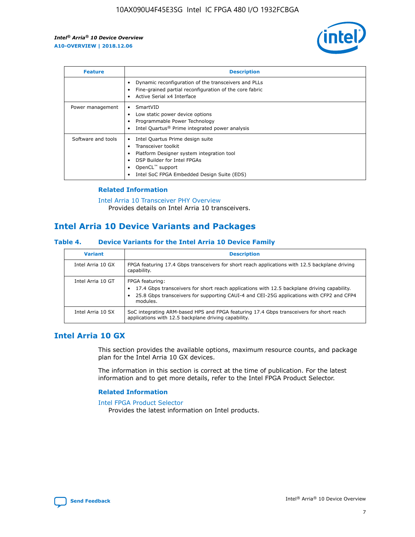

| <b>Feature</b>     | <b>Description</b>                                                                                                                                                                                                            |
|--------------------|-------------------------------------------------------------------------------------------------------------------------------------------------------------------------------------------------------------------------------|
|                    | Dynamic reconfiguration of the transceivers and PLLs<br>Fine-grained partial reconfiguration of the core fabric<br>Active Serial x4 Interface<br>$\bullet$                                                                    |
| Power management   | SmartVID<br>Low static power device options<br>Programmable Power Technology<br>Intel Quartus <sup>®</sup> Prime integrated power analysis                                                                                    |
| Software and tools | Intel Quartus Prime design suite<br>Transceiver toolkit<br>$\bullet$<br>Platform Designer system integration tool<br>DSP Builder for Intel FPGAs<br>OpenCL <sup>™</sup> support<br>Intel SoC FPGA Embedded Design Suite (EDS) |

## **Related Information**

[Intel Arria 10 Transceiver PHY Overview](https://www.intel.com/content/www/us/en/programmable/documentation/nik1398707230472.html#nik1398706768037) Provides details on Intel Arria 10 transceivers.

# **Intel Arria 10 Device Variants and Packages**

#### **Table 4. Device Variants for the Intel Arria 10 Device Family**

| <b>Variant</b>    | <b>Description</b>                                                                                                                                                                                                     |
|-------------------|------------------------------------------------------------------------------------------------------------------------------------------------------------------------------------------------------------------------|
| Intel Arria 10 GX | FPGA featuring 17.4 Gbps transceivers for short reach applications with 12.5 backplane driving<br>capability.                                                                                                          |
| Intel Arria 10 GT | FPGA featuring:<br>17.4 Gbps transceivers for short reach applications with 12.5 backplane driving capability.<br>25.8 Gbps transceivers for supporting CAUI-4 and CEI-25G applications with CFP2 and CFP4<br>modules. |
| Intel Arria 10 SX | SoC integrating ARM-based HPS and FPGA featuring 17.4 Gbps transceivers for short reach<br>applications with 12.5 backplane driving capability.                                                                        |

# **Intel Arria 10 GX**

This section provides the available options, maximum resource counts, and package plan for the Intel Arria 10 GX devices.

The information in this section is correct at the time of publication. For the latest information and to get more details, refer to the Intel FPGA Product Selector.

#### **Related Information**

#### [Intel FPGA Product Selector](http://www.altera.com/products/selector/psg-selector.html) Provides the latest information on Intel products.

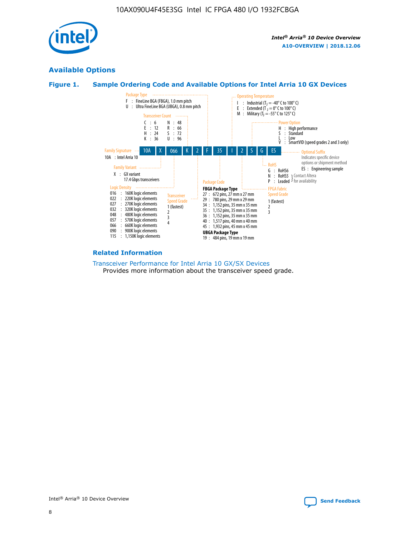

# **Available Options**





#### **Related Information**

[Transceiver Performance for Intel Arria 10 GX/SX Devices](https://www.intel.com/content/www/us/en/programmable/documentation/mcn1413182292568.html#mcn1413213965502) Provides more information about the transceiver speed grade.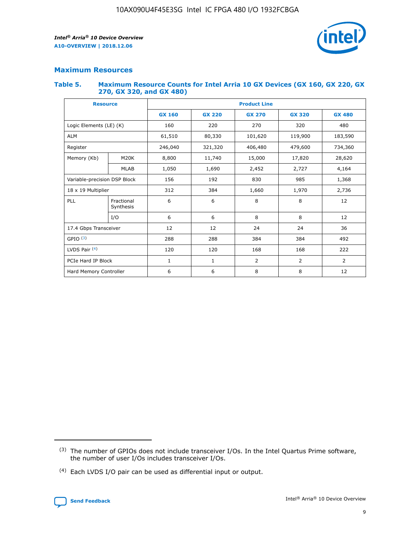

# **Maximum Resources**

#### **Table 5. Maximum Resource Counts for Intel Arria 10 GX Devices (GX 160, GX 220, GX 270, GX 320, and GX 480)**

| <b>Resource</b>              |                         | <b>Product Line</b> |                                |                |                |                |  |  |  |
|------------------------------|-------------------------|---------------------|--------------------------------|----------------|----------------|----------------|--|--|--|
|                              |                         | <b>GX 160</b>       | <b>GX 220</b><br><b>GX 270</b> |                | <b>GX 320</b>  | <b>GX 480</b>  |  |  |  |
| Logic Elements (LE) (K)      |                         | 160                 | 220                            | 270            | 320            | 480            |  |  |  |
| <b>ALM</b>                   |                         | 61,510              | 80,330                         | 101,620        | 119,900        | 183,590        |  |  |  |
| Register                     |                         | 246,040             | 406,480<br>321,320             |                | 479,600        | 734,360        |  |  |  |
| Memory (Kb)                  | M <sub>20</sub> K       | 8,800               | 11,740                         | 15,000         | 17,820         | 28,620         |  |  |  |
|                              | <b>MLAB</b>             | 1,050               | 1,690                          | 2,452          | 2,727          | 4,164          |  |  |  |
| Variable-precision DSP Block |                         | 156                 | 192                            | 830            | 985            | 1,368          |  |  |  |
| 18 x 19 Multiplier           |                         | 312                 | 384                            | 1,970<br>1,660 |                | 2,736          |  |  |  |
| PLL                          | Fractional<br>Synthesis | 6                   | 6                              | 8              | 8              | 12             |  |  |  |
|                              | I/O                     | 6                   | 6                              | 8              | 8              | 12             |  |  |  |
| 17.4 Gbps Transceiver        |                         | 12                  | 12                             | 24             | 24             | 36             |  |  |  |
| GPIO <sup>(3)</sup>          |                         | 288                 | 288                            | 384            | 384            |                |  |  |  |
| LVDS Pair $(4)$              |                         | 120                 | 120                            | 168            | 168            | 222            |  |  |  |
| PCIe Hard IP Block           |                         | 1                   | 1                              | 2              | $\overline{2}$ | $\overline{2}$ |  |  |  |
| Hard Memory Controller       |                         | 6                   | 6                              | 8<br>8         |                | 12             |  |  |  |

<sup>(4)</sup> Each LVDS I/O pair can be used as differential input or output.



<sup>(3)</sup> The number of GPIOs does not include transceiver I/Os. In the Intel Quartus Prime software, the number of user I/Os includes transceiver I/Os.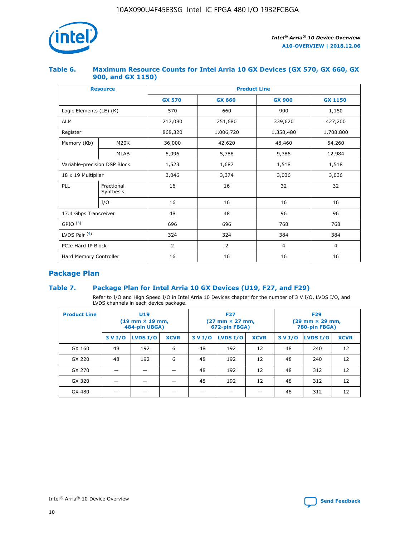

## **Table 6. Maximum Resource Counts for Intel Arria 10 GX Devices (GX 570, GX 660, GX 900, and GX 1150)**

|                              | <b>Resource</b>         | <b>Product Line</b> |                |                |                |  |  |  |
|------------------------------|-------------------------|---------------------|----------------|----------------|----------------|--|--|--|
|                              |                         | <b>GX 570</b>       | <b>GX 660</b>  | <b>GX 900</b>  | <b>GX 1150</b> |  |  |  |
| Logic Elements (LE) (K)      |                         | 570                 | 660            | 900            | 1,150          |  |  |  |
| <b>ALM</b>                   |                         | 217,080             | 251,680        | 339,620        | 427,200        |  |  |  |
| Register                     |                         | 868,320             | 1,006,720      |                | 1,708,800      |  |  |  |
| Memory (Kb)                  | <b>M20K</b>             | 36,000              | 42,620         | 48,460         | 54,260         |  |  |  |
|                              | <b>MLAB</b>             | 5,096               | 5,788          | 9,386          | 12,984         |  |  |  |
| Variable-precision DSP Block |                         | 1,523               | 1,687          | 1,518          | 1,518          |  |  |  |
| $18 \times 19$ Multiplier    |                         | 3,046               | 3,374          | 3,036          | 3,036          |  |  |  |
| PLL                          | Fractional<br>Synthesis | 16                  | 16             | 32             | 32             |  |  |  |
|                              | I/O                     | 16                  | 16             | 16             | 16             |  |  |  |
| 17.4 Gbps Transceiver        |                         | 48                  | 48<br>96       |                | 96             |  |  |  |
| GPIO <sup>(3)</sup>          |                         | 696                 | 696            | 768            | 768            |  |  |  |
| LVDS Pair $(4)$              |                         | 324                 | 324            | 384            | 384            |  |  |  |
| PCIe Hard IP Block           |                         | 2                   | $\overline{2}$ | $\overline{4}$ | 4              |  |  |  |
| Hard Memory Controller       |                         | 16                  | 16             | 16             | 16             |  |  |  |

# **Package Plan**

# **Table 7. Package Plan for Intel Arria 10 GX Devices (U19, F27, and F29)**

Refer to I/O and High Speed I/O in Intel Arria 10 Devices chapter for the number of 3 V I/O, LVDS I/O, and LVDS channels in each device package.

| <b>Product Line</b> | <b>U19</b><br>$(19 \text{ mm} \times 19 \text{ mm})$<br>484-pin UBGA) |          |             |         | <b>F27</b><br>(27 mm × 27 mm,<br>672-pin FBGA) |             | <b>F29</b><br>(29 mm × 29 mm,<br>780-pin FBGA) |          |             |  |
|---------------------|-----------------------------------------------------------------------|----------|-------------|---------|------------------------------------------------|-------------|------------------------------------------------|----------|-------------|--|
|                     | 3 V I/O                                                               | LVDS I/O | <b>XCVR</b> | 3 V I/O | LVDS I/O                                       | <b>XCVR</b> | 3 V I/O                                        | LVDS I/O | <b>XCVR</b> |  |
| GX 160              | 48                                                                    | 192      | 6           | 48      | 192                                            | 12          | 48                                             | 240      | 12          |  |
| GX 220              | 48                                                                    | 192      | 6           | 48      | 192                                            | 12          | 48                                             | 240      | 12          |  |
| GX 270              |                                                                       |          |             | 48      | 192                                            | 12          | 48                                             | 312      | 12          |  |
| GX 320              |                                                                       |          |             | 48      | 192                                            | 12          | 48                                             | 312      | 12          |  |
| GX 480              |                                                                       |          |             |         |                                                |             | 48                                             | 312      | 12          |  |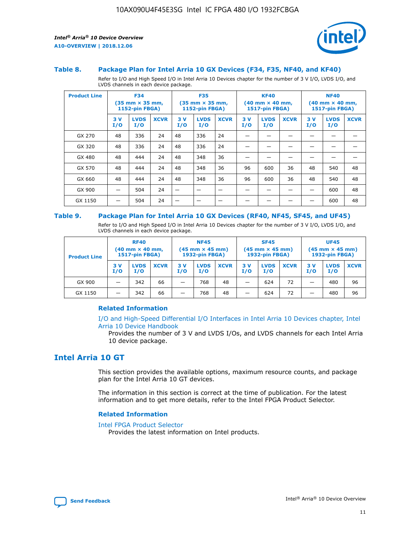

#### **Table 8. Package Plan for Intel Arria 10 GX Devices (F34, F35, NF40, and KF40)**

Refer to I/O and High Speed I/O in Intel Arria 10 Devices chapter for the number of 3 V I/O, LVDS I/O, and LVDS channels in each device package.

| <b>Product Line</b> | <b>F34</b><br>$(35 \text{ mm} \times 35 \text{ mm})$<br>1152-pin FBGA) |                    | <b>F35</b><br>$(35 \text{ mm} \times 35 \text{ mm})$<br><b>1152-pin FBGA)</b> |           | <b>KF40</b><br>$(40$ mm $\times$ 40 mm,<br>1517-pin FBGA) |             |           | <b>NF40</b><br>$(40$ mm $\times$ 40 mm,<br><b>1517-pin FBGA)</b> |             |            |                    |             |
|---------------------|------------------------------------------------------------------------|--------------------|-------------------------------------------------------------------------------|-----------|-----------------------------------------------------------|-------------|-----------|------------------------------------------------------------------|-------------|------------|--------------------|-------------|
|                     | 3V<br>I/O                                                              | <b>LVDS</b><br>I/O | <b>XCVR</b>                                                                   | 3V<br>I/O | <b>LVDS</b><br>I/O                                        | <b>XCVR</b> | 3V<br>I/O | <b>LVDS</b><br>I/O                                               | <b>XCVR</b> | 3 V<br>I/O | <b>LVDS</b><br>I/O | <b>XCVR</b> |
| GX 270              | 48                                                                     | 336                | 24                                                                            | 48        | 336                                                       | 24          |           |                                                                  |             |            |                    |             |
| GX 320              | 48                                                                     | 336                | 24                                                                            | 48        | 336                                                       | 24          |           |                                                                  |             |            |                    |             |
| GX 480              | 48                                                                     | 444                | 24                                                                            | 48        | 348                                                       | 36          |           |                                                                  |             |            |                    |             |
| GX 570              | 48                                                                     | 444                | 24                                                                            | 48        | 348                                                       | 36          | 96        | 600                                                              | 36          | 48         | 540                | 48          |
| GX 660              | 48                                                                     | 444                | 24                                                                            | 48        | 348                                                       | 36          | 96        | 600                                                              | 36          | 48         | 540                | 48          |
| GX 900              |                                                                        | 504                | 24                                                                            | -         |                                                           |             |           |                                                                  |             |            | 600                | 48          |
| GX 1150             |                                                                        | 504                | 24                                                                            |           |                                                           |             |           |                                                                  |             |            | 600                | 48          |

#### **Table 9. Package Plan for Intel Arria 10 GX Devices (RF40, NF45, SF45, and UF45)**

Refer to I/O and High Speed I/O in Intel Arria 10 Devices chapter for the number of 3 V I/O, LVDS I/O, and LVDS channels in each device package.

| <b>Product Line</b> | <b>RF40</b><br>$(40$ mm $\times$ 40 mm,<br>1517-pin FBGA) |                    |             | <b>NF45</b><br>$(45 \text{ mm} \times 45 \text{ mm})$<br><b>1932-pin FBGA)</b> |                    |             | <b>SF45</b><br>$(45 \text{ mm} \times 45 \text{ mm})$<br><b>1932-pin FBGA)</b> |                    |             | <b>UF45</b><br>$(45 \text{ mm} \times 45 \text{ mm})$<br><b>1932-pin FBGA)</b> |                    |             |
|---------------------|-----------------------------------------------------------|--------------------|-------------|--------------------------------------------------------------------------------|--------------------|-------------|--------------------------------------------------------------------------------|--------------------|-------------|--------------------------------------------------------------------------------|--------------------|-------------|
|                     | 3V<br>I/O                                                 | <b>LVDS</b><br>I/O | <b>XCVR</b> | 3 V<br>I/O                                                                     | <b>LVDS</b><br>I/O | <b>XCVR</b> | 3 V<br>I/O                                                                     | <b>LVDS</b><br>I/O | <b>XCVR</b> | 3V<br>I/O                                                                      | <b>LVDS</b><br>I/O | <b>XCVR</b> |
| GX 900              |                                                           | 342                | 66          | _                                                                              | 768                | 48          |                                                                                | 624                | 72          |                                                                                | 480                | 96          |
| GX 1150             |                                                           | 342                | 66          | _                                                                              | 768                | 48          |                                                                                | 624                | 72          |                                                                                | 480                | 96          |

### **Related Information**

[I/O and High-Speed Differential I/O Interfaces in Intel Arria 10 Devices chapter, Intel](https://www.intel.com/content/www/us/en/programmable/documentation/sam1403482614086.html#sam1403482030321) [Arria 10 Device Handbook](https://www.intel.com/content/www/us/en/programmable/documentation/sam1403482614086.html#sam1403482030321)

Provides the number of 3 V and LVDS I/Os, and LVDS channels for each Intel Arria 10 device package.

# **Intel Arria 10 GT**

This section provides the available options, maximum resource counts, and package plan for the Intel Arria 10 GT devices.

The information in this section is correct at the time of publication. For the latest information and to get more details, refer to the Intel FPGA Product Selector.

#### **Related Information**

#### [Intel FPGA Product Selector](http://www.altera.com/products/selector/psg-selector.html)

Provides the latest information on Intel products.

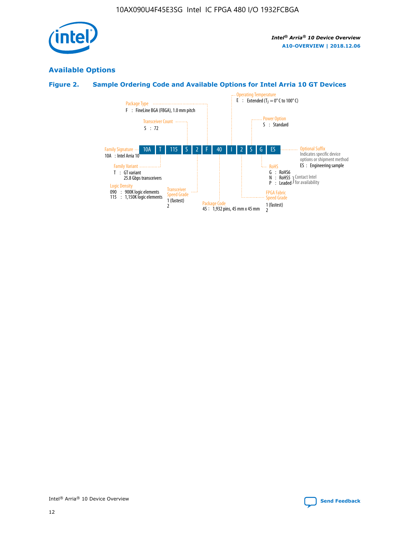

# **Available Options**

# **Figure 2. Sample Ordering Code and Available Options for Intel Arria 10 GT Devices**

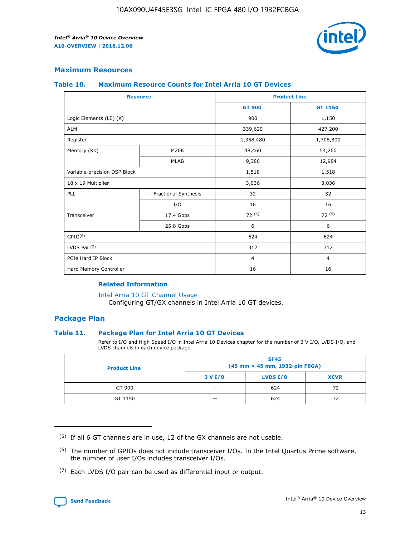

# **Maximum Resources**

#### **Table 10. Maximum Resource Counts for Intel Arria 10 GT Devices**

| <b>Resource</b>              |                      |                | <b>Product Line</b> |  |
|------------------------------|----------------------|----------------|---------------------|--|
|                              |                      | <b>GT 900</b>  | <b>GT 1150</b>      |  |
| Logic Elements (LE) (K)      |                      | 900            | 1,150               |  |
| <b>ALM</b>                   |                      | 339,620        | 427,200             |  |
| Register                     |                      | 1,358,480      | 1,708,800           |  |
| Memory (Kb)                  | M20K                 | 48,460         | 54,260              |  |
|                              | <b>MLAB</b>          | 9,386          | 12,984              |  |
| Variable-precision DSP Block |                      | 1,518          | 1,518               |  |
| 18 x 19 Multiplier           |                      | 3,036          | 3,036               |  |
| <b>PLL</b>                   | Fractional Synthesis | 32             | 32                  |  |
|                              | I/O                  | 16             | 16                  |  |
| Transceiver                  | 17.4 Gbps            | 72(5)          | 72(5)               |  |
|                              | 25.8 Gbps            | 6              | 6                   |  |
| GPIO <sup>(6)</sup>          |                      | 624            | 624                 |  |
| LVDS Pair $(7)$              |                      | 312            | 312                 |  |
| PCIe Hard IP Block           |                      | $\overline{4}$ | $\overline{4}$      |  |
| Hard Memory Controller       |                      | 16             | 16                  |  |

### **Related Information**

#### [Intel Arria 10 GT Channel Usage](https://www.intel.com/content/www/us/en/programmable/documentation/nik1398707230472.html#nik1398707008178)

Configuring GT/GX channels in Intel Arria 10 GT devices.

## **Package Plan**

#### **Table 11. Package Plan for Intel Arria 10 GT Devices**

Refer to I/O and High Speed I/O in Intel Arria 10 Devices chapter for the number of 3 V I/O, LVDS I/O, and LVDS channels in each device package.

| <b>Product Line</b> | <b>SF45</b><br>(45 mm × 45 mm, 1932-pin FBGA) |                 |             |  |  |  |
|---------------------|-----------------------------------------------|-----------------|-------------|--|--|--|
|                     | 3 V I/O                                       | <b>LVDS I/O</b> | <b>XCVR</b> |  |  |  |
| GT 900              |                                               | 624             | 72          |  |  |  |
| GT 1150             |                                               | 624             | 72          |  |  |  |

<sup>(7)</sup> Each LVDS I/O pair can be used as differential input or output.



 $(5)$  If all 6 GT channels are in use, 12 of the GX channels are not usable.

<sup>(6)</sup> The number of GPIOs does not include transceiver I/Os. In the Intel Quartus Prime software, the number of user I/Os includes transceiver I/Os.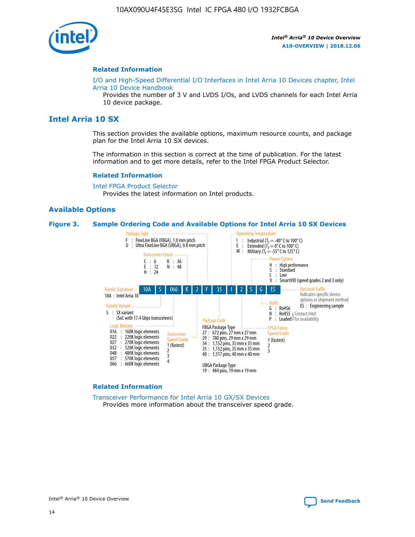

#### **Related Information**

[I/O and High-Speed Differential I/O Interfaces in Intel Arria 10 Devices chapter, Intel](https://www.intel.com/content/www/us/en/programmable/documentation/sam1403482614086.html#sam1403482030321) [Arria 10 Device Handbook](https://www.intel.com/content/www/us/en/programmable/documentation/sam1403482614086.html#sam1403482030321)

Provides the number of 3 V and LVDS I/Os, and LVDS channels for each Intel Arria 10 device package.

# **Intel Arria 10 SX**

This section provides the available options, maximum resource counts, and package plan for the Intel Arria 10 SX devices.

The information in this section is correct at the time of publication. For the latest information and to get more details, refer to the Intel FPGA Product Selector.

#### **Related Information**

[Intel FPGA Product Selector](http://www.altera.com/products/selector/psg-selector.html) Provides the latest information on Intel products.

#### **Available Options**

#### **Figure 3. Sample Ordering Code and Available Options for Intel Arria 10 SX Devices**



#### **Related Information**

[Transceiver Performance for Intel Arria 10 GX/SX Devices](https://www.intel.com/content/www/us/en/programmable/documentation/mcn1413182292568.html#mcn1413213965502) Provides more information about the transceiver speed grade.

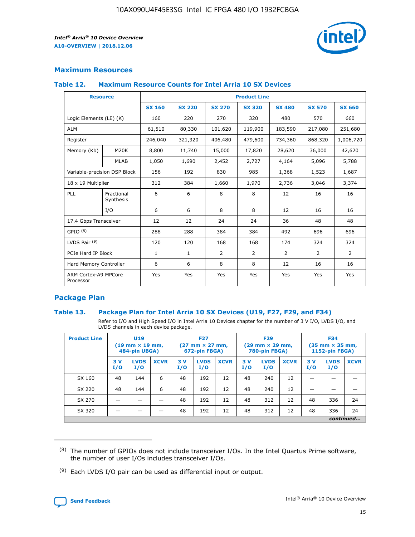

# **Maximum Resources**

#### **Table 12. Maximum Resource Counts for Intel Arria 10 SX Devices**

|                                   | <b>Resource</b>         | <b>Product Line</b> |               |                |                |                |                |                |  |  |  |
|-----------------------------------|-------------------------|---------------------|---------------|----------------|----------------|----------------|----------------|----------------|--|--|--|
|                                   |                         | <b>SX 160</b>       | <b>SX 220</b> | <b>SX 270</b>  | <b>SX 320</b>  | <b>SX 480</b>  | <b>SX 570</b>  | <b>SX 660</b>  |  |  |  |
| Logic Elements (LE) (K)           |                         | 160                 | 220           | 270            | 320            | 480            | 570            | 660            |  |  |  |
| <b>ALM</b>                        |                         | 61,510              | 80,330        | 101,620        | 119,900        | 183,590        | 217,080        | 251,680        |  |  |  |
| Register                          |                         | 246,040             | 321,320       | 406,480        | 479,600        | 734,360        | 868,320        | 1,006,720      |  |  |  |
| Memory (Kb)                       | M <sub>20</sub> K       | 8,800               | 11,740        | 15,000         | 17,820         | 28,620         | 36,000         | 42,620         |  |  |  |
|                                   | <b>MLAB</b>             | 1,050               | 1,690         | 2,452          | 2,727          | 4,164          | 5,096          | 5,788          |  |  |  |
| Variable-precision DSP Block      |                         | 156                 | 192           | 830            | 985            | 1,368          | 1,523          | 1,687          |  |  |  |
| 18 x 19 Multiplier                |                         | 312                 | 384           | 1,660          | 1,970          | 2,736          | 3,046          | 3,374          |  |  |  |
| <b>PLL</b>                        | Fractional<br>Synthesis | 6                   | 6             | 8              | 8              | 12             | 16             | 16             |  |  |  |
|                                   | I/O                     | 6                   | 6             | 8              | 8              | 12             | 16             | 16             |  |  |  |
| 17.4 Gbps Transceiver             |                         | 12                  | 12            | 24             | 24             | 36             | 48             | 48             |  |  |  |
| GPIO <sup>(8)</sup>               |                         | 288                 | 288           | 384            | 384            | 492            | 696            | 696            |  |  |  |
| LVDS Pair $(9)$                   |                         | 120                 | 120           | 168            | 168            | 174            | 324            | 324            |  |  |  |
| PCIe Hard IP Block                |                         | $\mathbf{1}$        | $\mathbf{1}$  | $\overline{2}$ | $\overline{2}$ | $\overline{2}$ | $\overline{2}$ | $\overline{2}$ |  |  |  |
| Hard Memory Controller            |                         | 6                   | 6             | 8              | 8              | 12             | 16             | 16             |  |  |  |
| ARM Cortex-A9 MPCore<br>Processor |                         | Yes                 | Yes           | Yes            | Yes            | Yes            | Yes            | Yes            |  |  |  |

# **Package Plan**

#### **Table 13. Package Plan for Intel Arria 10 SX Devices (U19, F27, F29, and F34)**

Refer to I/O and High Speed I/O in Intel Arria 10 Devices chapter for the number of 3 V I/O, LVDS I/O, and LVDS channels in each device package.

| <b>Product Line</b> | U19<br>$(19 \text{ mm} \times 19 \text{ mm})$<br>484-pin UBGA) |                    |             | <b>F27</b><br>$(27 \text{ mm} \times 27 \text{ mm})$ .<br>672-pin FBGA) |                    | <b>F29</b><br>$(29 \text{ mm} \times 29 \text{ mm})$ .<br>780-pin FBGA) |            |                    | <b>F34</b><br>$(35 \text{ mm} \times 35 \text{ mm})$<br><b>1152-pin FBGA)</b> |           |                    |             |
|---------------------|----------------------------------------------------------------|--------------------|-------------|-------------------------------------------------------------------------|--------------------|-------------------------------------------------------------------------|------------|--------------------|-------------------------------------------------------------------------------|-----------|--------------------|-------------|
|                     | 3V<br>I/O                                                      | <b>LVDS</b><br>I/O | <b>XCVR</b> | 3V<br>I/O                                                               | <b>LVDS</b><br>I/O | <b>XCVR</b>                                                             | 3 V<br>I/O | <b>LVDS</b><br>I/O | <b>XCVR</b>                                                                   | 3V<br>I/O | <b>LVDS</b><br>I/O | <b>XCVR</b> |
| SX 160              | 48                                                             | 144                | 6           | 48                                                                      | 192                | 12                                                                      | 48         | 240                | 12                                                                            |           |                    |             |
| SX 220              | 48                                                             | 144                | 6           | 48                                                                      | 192                | 12                                                                      | 48         | 240                | 12                                                                            |           |                    |             |
| SX 270              |                                                                |                    |             | 48                                                                      | 192                | 12                                                                      | 48         | 312                | 12                                                                            | 48        | 336                | 24          |
| SX 320              |                                                                |                    |             | 48                                                                      | 192                | 12                                                                      | 48         | 312                | 12                                                                            | 48        | 336                | 24          |
|                     | continued                                                      |                    |             |                                                                         |                    |                                                                         |            |                    |                                                                               |           |                    |             |

 $(8)$  The number of GPIOs does not include transceiver I/Os. In the Intel Quartus Prime software, the number of user I/Os includes transceiver I/Os.

 $(9)$  Each LVDS I/O pair can be used as differential input or output.

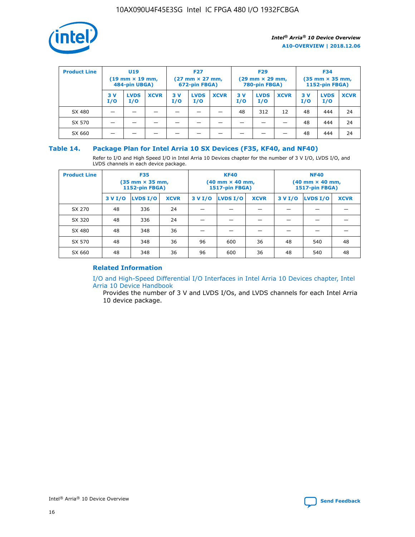

| <b>Product Line</b> | U <sub>19</sub><br>$(19$ mm $\times$ 19 mm,<br>484-pin UBGA) |                    | <b>F27</b><br>$(27 \text{ mm} \times 27 \text{ mm})$<br>672-pin FBGA) |           |                    | <b>F29</b><br>$(29 \text{ mm} \times 29 \text{ mm})$<br>780-pin FBGA) |           |                    | <b>F34</b><br>$(35$ mm $\times$ 35 mm,<br>1152-pin FBGA) |           |                    |             |
|---------------------|--------------------------------------------------------------|--------------------|-----------------------------------------------------------------------|-----------|--------------------|-----------------------------------------------------------------------|-----------|--------------------|----------------------------------------------------------|-----------|--------------------|-------------|
|                     | 3 V<br>I/O                                                   | <b>LVDS</b><br>I/O | <b>XCVR</b>                                                           | 3V<br>I/O | <b>LVDS</b><br>I/O | <b>XCVR</b>                                                           | 3V<br>I/O | <b>LVDS</b><br>I/O | <b>XCVR</b>                                              | 3V<br>I/O | <b>LVDS</b><br>I/O | <b>XCVR</b> |
| SX 480              |                                                              |                    |                                                                       |           |                    |                                                                       | 48        | 312                | 12                                                       | 48        | 444                | 24          |
| SX 570              |                                                              |                    |                                                                       |           |                    |                                                                       |           |                    |                                                          | 48        | 444                | 24          |
| SX 660              |                                                              |                    |                                                                       |           |                    |                                                                       |           |                    |                                                          | 48        | 444                | 24          |

## **Table 14. Package Plan for Intel Arria 10 SX Devices (F35, KF40, and NF40)**

Refer to I/O and High Speed I/O in Intel Arria 10 Devices chapter for the number of 3 V I/O, LVDS I/O, and LVDS channels in each device package.

| <b>Product Line</b> | <b>F35</b><br>(35 mm × 35 mm,<br><b>1152-pin FBGA)</b> |          |             |                                           | <b>KF40</b><br>(40 mm × 40 mm,<br>1517-pin FBGA) |    | <b>NF40</b><br>$(40 \text{ mm} \times 40 \text{ mm})$<br>1517-pin FBGA) |          |             |  |
|---------------------|--------------------------------------------------------|----------|-------------|-------------------------------------------|--------------------------------------------------|----|-------------------------------------------------------------------------|----------|-------------|--|
|                     | 3 V I/O                                                | LVDS I/O | <b>XCVR</b> | <b>LVDS I/O</b><br>3 V I/O<br><b>XCVR</b> |                                                  |    | 3 V I/O                                                                 | LVDS I/O | <b>XCVR</b> |  |
| SX 270              | 48                                                     | 336      | 24          |                                           |                                                  |    |                                                                         |          |             |  |
| SX 320              | 48                                                     | 336      | 24          |                                           |                                                  |    |                                                                         |          |             |  |
| SX 480              | 48                                                     | 348      | 36          |                                           |                                                  |    |                                                                         |          |             |  |
| SX 570              | 48                                                     | 348      | 36          | 96                                        | 600                                              | 36 | 48                                                                      | 540      | 48          |  |
| SX 660              | 48                                                     | 348      | 36          | 96                                        | 600                                              | 36 | 48                                                                      | 540      | 48          |  |

# **Related Information**

[I/O and High-Speed Differential I/O Interfaces in Intel Arria 10 Devices chapter, Intel](https://www.intel.com/content/www/us/en/programmable/documentation/sam1403482614086.html#sam1403482030321) [Arria 10 Device Handbook](https://www.intel.com/content/www/us/en/programmable/documentation/sam1403482614086.html#sam1403482030321)

Provides the number of 3 V and LVDS I/Os, and LVDS channels for each Intel Arria 10 device package.

Intel<sup>®</sup> Arria<sup>®</sup> 10 Device Overview **[Send Feedback](mailto:FPGAtechdocfeedback@intel.com?subject=Feedback%20on%20Intel%20Arria%2010%20Device%20Overview%20(A10-OVERVIEW%202018.12.06)&body=We%20appreciate%20your%20feedback.%20In%20your%20comments,%20also%20specify%20the%20page%20number%20or%20paragraph.%20Thank%20you.)** Send Feedback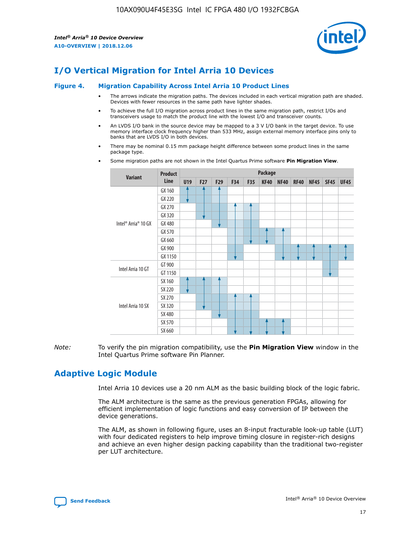

# **I/O Vertical Migration for Intel Arria 10 Devices**

#### **Figure 4. Migration Capability Across Intel Arria 10 Product Lines**

- The arrows indicate the migration paths. The devices included in each vertical migration path are shaded. Devices with fewer resources in the same path have lighter shades.
- To achieve the full I/O migration across product lines in the same migration path, restrict I/Os and transceivers usage to match the product line with the lowest I/O and transceiver counts.
- An LVDS I/O bank in the source device may be mapped to a 3 V I/O bank in the target device. To use memory interface clock frequency higher than 533 MHz, assign external memory interface pins only to banks that are LVDS I/O in both devices.
- There may be nominal 0.15 mm package height difference between some product lines in the same package type.
	- **Variant Product Line Package U19 F27 F29 F34 F35 KF40 NF40 RF40 NF45 SF45 UF45** Intel® Arria® 10 GX GX 160 GX 220 GX 270 GX 320 GX 480 GX 570 GX 660 GX 900 GX 1150 Intel Arria 10 GT GT 900 GT 1150 Intel Arria 10 SX SX 160 SX 220 SX 270 SX 320 SX 480 SX 570 SX 660
- Some migration paths are not shown in the Intel Quartus Prime software **Pin Migration View**.

*Note:* To verify the pin migration compatibility, use the **Pin Migration View** window in the Intel Quartus Prime software Pin Planner.

# **Adaptive Logic Module**

Intel Arria 10 devices use a 20 nm ALM as the basic building block of the logic fabric.

The ALM architecture is the same as the previous generation FPGAs, allowing for efficient implementation of logic functions and easy conversion of IP between the device generations.

The ALM, as shown in following figure, uses an 8-input fracturable look-up table (LUT) with four dedicated registers to help improve timing closure in register-rich designs and achieve an even higher design packing capability than the traditional two-register per LUT architecture.

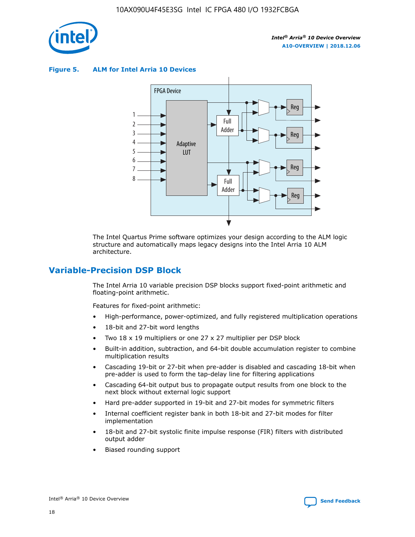

**Figure 5. ALM for Intel Arria 10 Devices**



The Intel Quartus Prime software optimizes your design according to the ALM logic structure and automatically maps legacy designs into the Intel Arria 10 ALM architecture.

# **Variable-Precision DSP Block**

The Intel Arria 10 variable precision DSP blocks support fixed-point arithmetic and floating-point arithmetic.

Features for fixed-point arithmetic:

- High-performance, power-optimized, and fully registered multiplication operations
- 18-bit and 27-bit word lengths
- Two 18 x 19 multipliers or one 27 x 27 multiplier per DSP block
- Built-in addition, subtraction, and 64-bit double accumulation register to combine multiplication results
- Cascading 19-bit or 27-bit when pre-adder is disabled and cascading 18-bit when pre-adder is used to form the tap-delay line for filtering applications
- Cascading 64-bit output bus to propagate output results from one block to the next block without external logic support
- Hard pre-adder supported in 19-bit and 27-bit modes for symmetric filters
- Internal coefficient register bank in both 18-bit and 27-bit modes for filter implementation
- 18-bit and 27-bit systolic finite impulse response (FIR) filters with distributed output adder
- Biased rounding support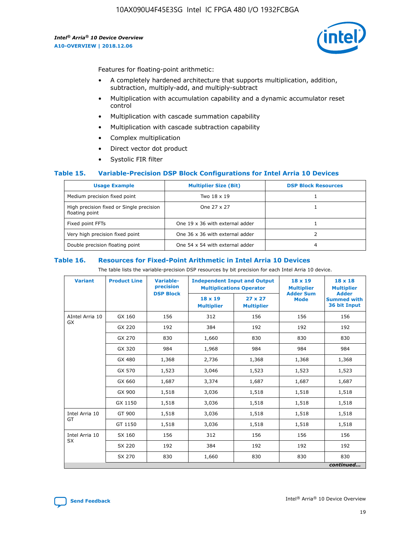

Features for floating-point arithmetic:

- A completely hardened architecture that supports multiplication, addition, subtraction, multiply-add, and multiply-subtract
- Multiplication with accumulation capability and a dynamic accumulator reset control
- Multiplication with cascade summation capability
- Multiplication with cascade subtraction capability
- Complex multiplication
- Direct vector dot product
- Systolic FIR filter

#### **Table 15. Variable-Precision DSP Block Configurations for Intel Arria 10 Devices**

| <b>Usage Example</b>                                       | <b>Multiplier Size (Bit)</b>    | <b>DSP Block Resources</b> |
|------------------------------------------------------------|---------------------------------|----------------------------|
| Medium precision fixed point                               | Two 18 x 19                     |                            |
| High precision fixed or Single precision<br>floating point | One 27 x 27                     |                            |
| Fixed point FFTs                                           | One 19 x 36 with external adder |                            |
| Very high precision fixed point                            | One 36 x 36 with external adder |                            |
| Double precision floating point                            | One 54 x 54 with external adder | 4                          |

#### **Table 16. Resources for Fixed-Point Arithmetic in Intel Arria 10 Devices**

The table lists the variable-precision DSP resources by bit precision for each Intel Arria 10 device.

| <b>Variant</b>  | <b>Product Line</b> | <b>Variable-</b><br>precision<br><b>DSP Block</b> | <b>Independent Input and Output</b><br><b>Multiplications Operator</b> |                                     | 18 x 19<br><b>Multiplier</b><br><b>Adder Sum</b> | $18 \times 18$<br><b>Multiplier</b><br><b>Adder</b> |
|-----------------|---------------------|---------------------------------------------------|------------------------------------------------------------------------|-------------------------------------|--------------------------------------------------|-----------------------------------------------------|
|                 |                     |                                                   | 18 x 19<br><b>Multiplier</b>                                           | $27 \times 27$<br><b>Multiplier</b> | <b>Mode</b>                                      | <b>Summed with</b><br>36 bit Input                  |
| AIntel Arria 10 | GX 160              | 156                                               | 312                                                                    | 156                                 | 156                                              | 156                                                 |
| GX              | GX 220              | 192                                               | 384                                                                    | 192                                 | 192                                              | 192                                                 |
|                 | GX 270              | 830                                               | 1,660                                                                  | 830                                 | 830                                              | 830                                                 |
|                 | GX 320              | 984                                               | 1,968                                                                  | 984                                 | 984                                              | 984                                                 |
|                 | GX 480              | 1,368                                             | 2,736                                                                  | 1,368                               | 1,368                                            | 1,368                                               |
|                 | GX 570              | 1,523                                             | 3,046                                                                  | 1,523                               | 1,523                                            | 1,523                                               |
|                 | GX 660              | 1,687                                             | 3,374                                                                  | 1,687                               | 1,687                                            | 1,687                                               |
|                 | GX 900              | 1,518                                             | 3,036                                                                  | 1,518                               | 1,518                                            | 1,518                                               |
|                 | GX 1150             | 1,518                                             | 3,036                                                                  | 1,518                               | 1,518                                            | 1,518                                               |
| Intel Arria 10  | GT 900              | 1,518                                             | 3,036                                                                  | 1,518                               | 1,518                                            | 1,518                                               |
| GT              | GT 1150             | 1,518                                             | 3,036                                                                  | 1,518                               | 1,518                                            | 1,518                                               |
| Intel Arria 10  | SX 160              | 156                                               | 312                                                                    | 156                                 | 156                                              | 156                                                 |
| <b>SX</b>       | SX 220              | 192                                               | 384                                                                    | 192                                 | 192                                              | 192                                                 |
|                 | SX 270              | 830                                               | 1,660                                                                  | 830                                 | 830                                              | 830                                                 |
|                 |                     |                                                   |                                                                        |                                     |                                                  | continued                                           |

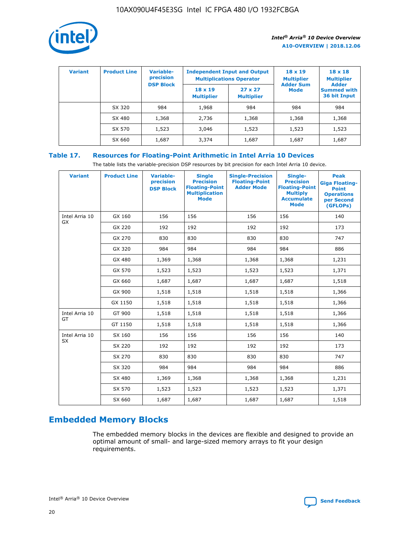

| <b>Variant</b> | <b>Product Line</b> | Variable-<br>precision | <b>Independent Input and Output</b><br><b>Multiplications Operator</b> |                                     | $18 \times 19$<br><b>Multiplier</b> | $18 \times 18$<br><b>Multiplier</b><br><b>Adder</b> |  |
|----------------|---------------------|------------------------|------------------------------------------------------------------------|-------------------------------------|-------------------------------------|-----------------------------------------------------|--|
|                |                     | <b>DSP Block</b>       | $18 \times 19$<br><b>Multiplier</b>                                    | $27 \times 27$<br><b>Multiplier</b> | <b>Adder Sum</b><br><b>Mode</b>     | <b>Summed with</b><br>36 bit Input                  |  |
|                | SX 320              | 984                    | 1,968                                                                  | 984                                 | 984                                 | 984                                                 |  |
|                | SX 480              | 1,368                  | 2,736                                                                  | 1,368                               | 1,368                               | 1,368                                               |  |
|                | SX 570              | 1,523                  | 3,046                                                                  | 1,523                               | 1,523                               | 1,523                                               |  |
|                | SX 660              | 1,687                  | 3,374                                                                  | 1,687                               | 1,687                               | 1,687                                               |  |

# **Table 17. Resources for Floating-Point Arithmetic in Intel Arria 10 Devices**

The table lists the variable-precision DSP resources by bit precision for each Intel Arria 10 device.

| <b>Variant</b> | <b>Product Line</b> | <b>Variable-</b><br>precision<br><b>DSP Block</b> | <b>Single</b><br><b>Precision</b><br><b>Floating-Point</b><br><b>Multiplication</b><br><b>Mode</b> | <b>Single-Precision</b><br><b>Floating-Point</b><br><b>Adder Mode</b> | Single-<br><b>Precision</b><br><b>Floating-Point</b><br><b>Multiply</b><br><b>Accumulate</b><br><b>Mode</b> | <b>Peak</b><br><b>Giga Floating-</b><br><b>Point</b><br><b>Operations</b><br>per Second<br>(GFLOPs) |
|----------------|---------------------|---------------------------------------------------|----------------------------------------------------------------------------------------------------|-----------------------------------------------------------------------|-------------------------------------------------------------------------------------------------------------|-----------------------------------------------------------------------------------------------------|
| Intel Arria 10 | GX 160              | 156                                               | 156                                                                                                | 156                                                                   | 156                                                                                                         | 140                                                                                                 |
| GX             | GX 220              | 192                                               | 192                                                                                                | 192                                                                   | 192                                                                                                         | 173                                                                                                 |
|                | GX 270              | 830                                               | 830                                                                                                | 830                                                                   | 830                                                                                                         | 747                                                                                                 |
|                | GX 320              | 984                                               | 984                                                                                                | 984                                                                   | 984                                                                                                         | 886                                                                                                 |
|                | GX 480              | 1,369                                             | 1,368                                                                                              | 1,368                                                                 | 1,368                                                                                                       | 1,231                                                                                               |
|                | GX 570              | 1,523                                             | 1,523                                                                                              | 1,523                                                                 | 1,523                                                                                                       | 1,371                                                                                               |
|                | GX 660              | 1,687                                             | 1,687                                                                                              | 1,687                                                                 | 1,687                                                                                                       | 1,518                                                                                               |
|                | GX 900              | 1,518                                             | 1,518                                                                                              | 1,518                                                                 | 1,518                                                                                                       | 1,366                                                                                               |
|                | GX 1150             | 1,518                                             | 1,518                                                                                              | 1,518                                                                 | 1,518                                                                                                       | 1,366                                                                                               |
| Intel Arria 10 | GT 900              | 1,518                                             | 1,518                                                                                              | 1,518                                                                 | 1,518                                                                                                       | 1,366                                                                                               |
| GT             | GT 1150             | 1,518                                             | 1,518                                                                                              | 1,518                                                                 | 1,518                                                                                                       | 1,366                                                                                               |
| Intel Arria 10 | SX 160              | 156                                               | 156                                                                                                | 156                                                                   | 156                                                                                                         | 140                                                                                                 |
| <b>SX</b>      | SX 220              | 192                                               | 192                                                                                                | 192                                                                   | 192                                                                                                         | 173                                                                                                 |
|                | SX 270              | 830                                               | 830                                                                                                | 830                                                                   | 830                                                                                                         | 747                                                                                                 |
|                | SX 320              | 984                                               | 984                                                                                                | 984                                                                   | 984                                                                                                         | 886                                                                                                 |
|                | SX 480              | 1,369                                             | 1,368                                                                                              | 1,368                                                                 | 1,368                                                                                                       | 1,231                                                                                               |
|                | SX 570              | 1,523                                             | 1,523                                                                                              | 1,523                                                                 | 1,523                                                                                                       | 1,371                                                                                               |
|                | SX 660              | 1,687                                             | 1,687                                                                                              | 1,687                                                                 | 1,687                                                                                                       | 1,518                                                                                               |

# **Embedded Memory Blocks**

The embedded memory blocks in the devices are flexible and designed to provide an optimal amount of small- and large-sized memory arrays to fit your design requirements.

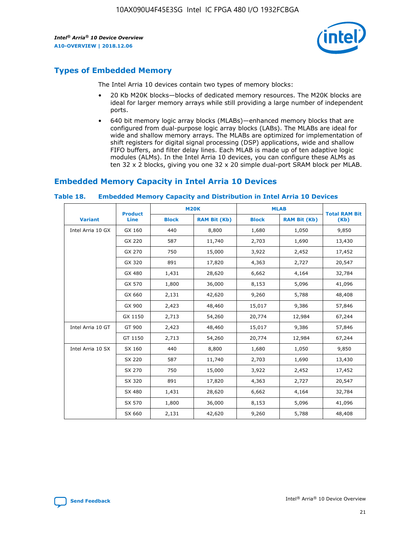

# **Types of Embedded Memory**

The Intel Arria 10 devices contain two types of memory blocks:

- 20 Kb M20K blocks—blocks of dedicated memory resources. The M20K blocks are ideal for larger memory arrays while still providing a large number of independent ports.
- 640 bit memory logic array blocks (MLABs)—enhanced memory blocks that are configured from dual-purpose logic array blocks (LABs). The MLABs are ideal for wide and shallow memory arrays. The MLABs are optimized for implementation of shift registers for digital signal processing (DSP) applications, wide and shallow FIFO buffers, and filter delay lines. Each MLAB is made up of ten adaptive logic modules (ALMs). In the Intel Arria 10 devices, you can configure these ALMs as ten 32 x 2 blocks, giving you one 32 x 20 simple dual-port SRAM block per MLAB.

# **Embedded Memory Capacity in Intel Arria 10 Devices**

|                   | <b>Product</b> |              | <b>M20K</b>         | <b>MLAB</b>  |                     | <b>Total RAM Bit</b> |
|-------------------|----------------|--------------|---------------------|--------------|---------------------|----------------------|
| <b>Variant</b>    | Line           | <b>Block</b> | <b>RAM Bit (Kb)</b> | <b>Block</b> | <b>RAM Bit (Kb)</b> | (Kb)                 |
| Intel Arria 10 GX | GX 160         | 440          | 8,800               | 1,680        | 1,050               | 9,850                |
|                   | GX 220         | 587          | 11,740              | 2,703        | 1,690               | 13,430               |
|                   | GX 270         | 750          | 15,000              | 3,922        | 2,452               | 17,452               |
|                   | GX 320         | 891          | 17,820              | 4,363        | 2,727               | 20,547               |
|                   | GX 480         | 1,431        | 28,620              | 6,662        | 4,164               | 32,784               |
|                   | GX 570         | 1,800        | 36,000              | 8,153        | 5,096               | 41,096               |
|                   | GX 660         | 2,131        | 42,620              | 9,260        | 5,788               | 48,408               |
|                   | GX 900         | 2,423        | 48,460              | 15,017       | 9,386               | 57,846               |
|                   | GX 1150        | 2,713        | 54,260              | 20,774       | 12,984              | 67,244               |
| Intel Arria 10 GT | GT 900         | 2,423        | 48,460              | 15,017       | 9,386               | 57,846               |
|                   | GT 1150        | 2,713        | 54,260              | 20,774       | 12,984              | 67,244               |
| Intel Arria 10 SX | SX 160         | 440          | 8,800               | 1,680        | 1,050               | 9,850                |
|                   | SX 220         | 587          | 11,740              | 2,703        | 1,690               | 13,430               |
|                   | SX 270         | 750          | 15,000              | 3,922        | 2,452               | 17,452               |
|                   | SX 320         | 891          | 17,820              | 4,363        | 2,727               | 20,547               |
|                   | SX 480         | 1,431        | 28,620              | 6,662        | 4,164               | 32,784               |
|                   | SX 570         | 1,800        | 36,000              | 8,153        | 5,096               | 41,096               |
|                   | SX 660         | 2,131        | 42,620              | 9,260        | 5,788               | 48,408               |

#### **Table 18. Embedded Memory Capacity and Distribution in Intel Arria 10 Devices**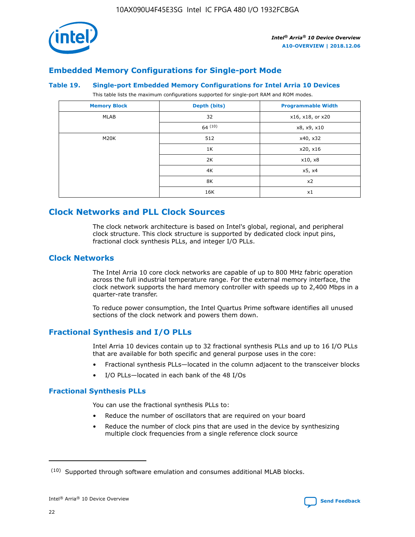

# **Embedded Memory Configurations for Single-port Mode**

#### **Table 19. Single-port Embedded Memory Configurations for Intel Arria 10 Devices**

This table lists the maximum configurations supported for single-port RAM and ROM modes.

| <b>Memory Block</b> | Depth (bits) | <b>Programmable Width</b> |
|---------------------|--------------|---------------------------|
| MLAB                | 32           | x16, x18, or x20          |
|                     | 64(10)       | x8, x9, x10               |
| M20K                | 512          | x40, x32                  |
|                     | 1K           | x20, x16                  |
|                     | 2K           | x10, x8                   |
|                     | 4K           | x5, x4                    |
|                     | 8K           | x2                        |
|                     | 16K          | x1                        |

# **Clock Networks and PLL Clock Sources**

The clock network architecture is based on Intel's global, regional, and peripheral clock structure. This clock structure is supported by dedicated clock input pins, fractional clock synthesis PLLs, and integer I/O PLLs.

# **Clock Networks**

The Intel Arria 10 core clock networks are capable of up to 800 MHz fabric operation across the full industrial temperature range. For the external memory interface, the clock network supports the hard memory controller with speeds up to 2,400 Mbps in a quarter-rate transfer.

To reduce power consumption, the Intel Quartus Prime software identifies all unused sections of the clock network and powers them down.

# **Fractional Synthesis and I/O PLLs**

Intel Arria 10 devices contain up to 32 fractional synthesis PLLs and up to 16 I/O PLLs that are available for both specific and general purpose uses in the core:

- Fractional synthesis PLLs—located in the column adjacent to the transceiver blocks
- I/O PLLs—located in each bank of the 48 I/Os

### **Fractional Synthesis PLLs**

You can use the fractional synthesis PLLs to:

- Reduce the number of oscillators that are required on your board
- Reduce the number of clock pins that are used in the device by synthesizing multiple clock frequencies from a single reference clock source

<sup>(10)</sup> Supported through software emulation and consumes additional MLAB blocks.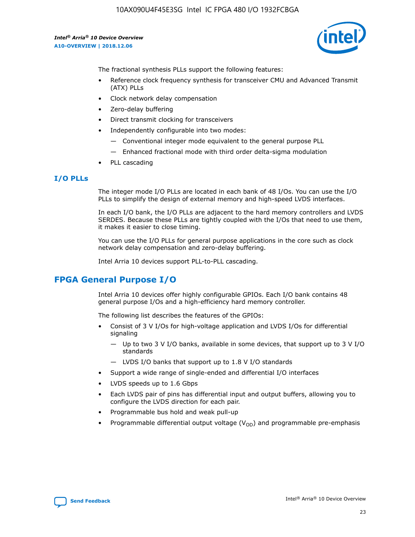10AX090U4F45E3SG Intel IC FPGA 480 I/O 1932FCBGA

*Intel® Arria® 10 Device Overview* **A10-OVERVIEW | 2018.12.06**



The fractional synthesis PLLs support the following features:

- Reference clock frequency synthesis for transceiver CMU and Advanced Transmit (ATX) PLLs
- Clock network delay compensation
- Zero-delay buffering
- Direct transmit clocking for transceivers
- Independently configurable into two modes:
	- Conventional integer mode equivalent to the general purpose PLL
	- Enhanced fractional mode with third order delta-sigma modulation
- PLL cascading

#### **I/O PLLs**

The integer mode I/O PLLs are located in each bank of 48 I/Os. You can use the I/O PLLs to simplify the design of external memory and high-speed LVDS interfaces.

In each I/O bank, the I/O PLLs are adjacent to the hard memory controllers and LVDS SERDES. Because these PLLs are tightly coupled with the I/Os that need to use them, it makes it easier to close timing.

You can use the I/O PLLs for general purpose applications in the core such as clock network delay compensation and zero-delay buffering.

Intel Arria 10 devices support PLL-to-PLL cascading.

# **FPGA General Purpose I/O**

Intel Arria 10 devices offer highly configurable GPIOs. Each I/O bank contains 48 general purpose I/Os and a high-efficiency hard memory controller.

The following list describes the features of the GPIOs:

- Consist of 3 V I/Os for high-voltage application and LVDS I/Os for differential signaling
	- Up to two 3 V I/O banks, available in some devices, that support up to 3 V I/O standards
	- LVDS I/O banks that support up to 1.8 V I/O standards
- Support a wide range of single-ended and differential I/O interfaces
- LVDS speeds up to 1.6 Gbps
- Each LVDS pair of pins has differential input and output buffers, allowing you to configure the LVDS direction for each pair.
- Programmable bus hold and weak pull-up
- Programmable differential output voltage  $(V_{OD})$  and programmable pre-emphasis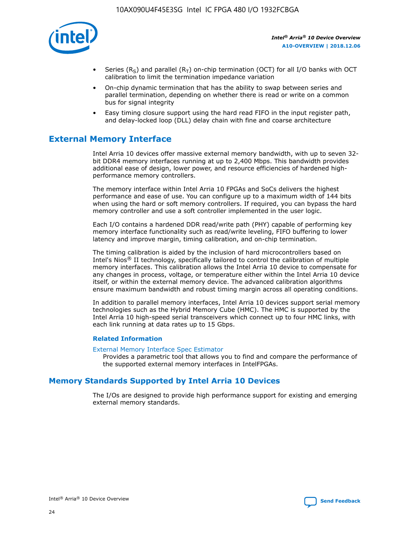

- Series (R<sub>S</sub>) and parallel (R<sub>T</sub>) on-chip termination (OCT) for all I/O banks with OCT calibration to limit the termination impedance variation
- On-chip dynamic termination that has the ability to swap between series and parallel termination, depending on whether there is read or write on a common bus for signal integrity
- Easy timing closure support using the hard read FIFO in the input register path, and delay-locked loop (DLL) delay chain with fine and coarse architecture

# **External Memory Interface**

Intel Arria 10 devices offer massive external memory bandwidth, with up to seven 32 bit DDR4 memory interfaces running at up to 2,400 Mbps. This bandwidth provides additional ease of design, lower power, and resource efficiencies of hardened highperformance memory controllers.

The memory interface within Intel Arria 10 FPGAs and SoCs delivers the highest performance and ease of use. You can configure up to a maximum width of 144 bits when using the hard or soft memory controllers. If required, you can bypass the hard memory controller and use a soft controller implemented in the user logic.

Each I/O contains a hardened DDR read/write path (PHY) capable of performing key memory interface functionality such as read/write leveling, FIFO buffering to lower latency and improve margin, timing calibration, and on-chip termination.

The timing calibration is aided by the inclusion of hard microcontrollers based on Intel's Nios® II technology, specifically tailored to control the calibration of multiple memory interfaces. This calibration allows the Intel Arria 10 device to compensate for any changes in process, voltage, or temperature either within the Intel Arria 10 device itself, or within the external memory device. The advanced calibration algorithms ensure maximum bandwidth and robust timing margin across all operating conditions.

In addition to parallel memory interfaces, Intel Arria 10 devices support serial memory technologies such as the Hybrid Memory Cube (HMC). The HMC is supported by the Intel Arria 10 high-speed serial transceivers which connect up to four HMC links, with each link running at data rates up to 15 Gbps.

#### **Related Information**

#### [External Memory Interface Spec Estimator](http://www.altera.com/technology/memory/estimator/mem-emif-index.html)

Provides a parametric tool that allows you to find and compare the performance of the supported external memory interfaces in IntelFPGAs.

# **Memory Standards Supported by Intel Arria 10 Devices**

The I/Os are designed to provide high performance support for existing and emerging external memory standards.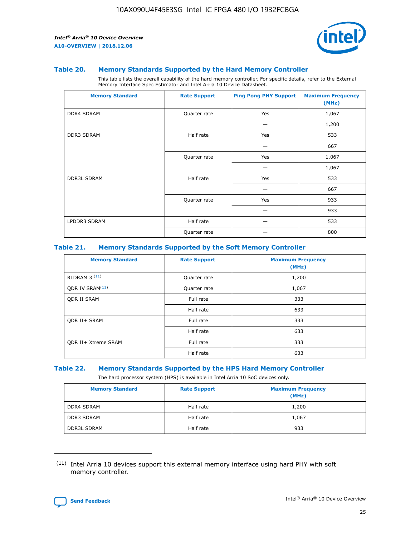

#### **Table 20. Memory Standards Supported by the Hard Memory Controller**

This table lists the overall capability of the hard memory controller. For specific details, refer to the External Memory Interface Spec Estimator and Intel Arria 10 Device Datasheet.

| <b>Memory Standard</b> | <b>Rate Support</b> | <b>Ping Pong PHY Support</b> | <b>Maximum Frequency</b><br>(MHz) |
|------------------------|---------------------|------------------------------|-----------------------------------|
| <b>DDR4 SDRAM</b>      | Quarter rate        | Yes                          | 1,067                             |
|                        |                     |                              | 1,200                             |
| DDR3 SDRAM             | Half rate           | Yes                          | 533                               |
|                        |                     |                              | 667                               |
|                        | Quarter rate        | Yes                          | 1,067                             |
|                        |                     |                              | 1,067                             |
| <b>DDR3L SDRAM</b>     | Half rate           | Yes                          | 533                               |
|                        |                     |                              | 667                               |
|                        | Quarter rate        | Yes                          | 933                               |
|                        |                     |                              | 933                               |
| LPDDR3 SDRAM           | Half rate           |                              | 533                               |
|                        | Quarter rate        |                              | 800                               |

#### **Table 21. Memory Standards Supported by the Soft Memory Controller**

| <b>Memory Standard</b>      | <b>Rate Support</b> | <b>Maximum Frequency</b><br>(MHz) |
|-----------------------------|---------------------|-----------------------------------|
| <b>RLDRAM 3 (11)</b>        | Quarter rate        | 1,200                             |
| ODR IV SRAM <sup>(11)</sup> | Quarter rate        | 1,067                             |
| <b>ODR II SRAM</b>          | Full rate           | 333                               |
|                             | Half rate           | 633                               |
| <b>ODR II+ SRAM</b>         | Full rate           | 333                               |
|                             | Half rate           | 633                               |
| <b>ODR II+ Xtreme SRAM</b>  | Full rate           | 333                               |
|                             | Half rate           | 633                               |

#### **Table 22. Memory Standards Supported by the HPS Hard Memory Controller**

The hard processor system (HPS) is available in Intel Arria 10 SoC devices only.

| <b>Memory Standard</b> | <b>Rate Support</b> | <b>Maximum Frequency</b><br>(MHz) |
|------------------------|---------------------|-----------------------------------|
| <b>DDR4 SDRAM</b>      | Half rate           | 1,200                             |
| <b>DDR3 SDRAM</b>      | Half rate           | 1,067                             |
| <b>DDR3L SDRAM</b>     | Half rate           | 933                               |

<sup>(11)</sup> Intel Arria 10 devices support this external memory interface using hard PHY with soft memory controller.

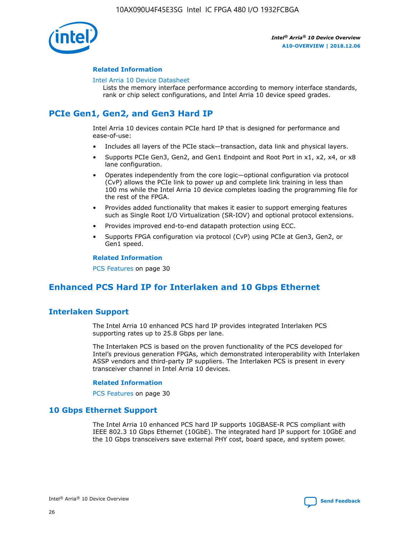

### **Related Information**

#### [Intel Arria 10 Device Datasheet](https://www.intel.com/content/www/us/en/programmable/documentation/mcn1413182292568.html#mcn1413182153340)

Lists the memory interface performance according to memory interface standards, rank or chip select configurations, and Intel Arria 10 device speed grades.

# **PCIe Gen1, Gen2, and Gen3 Hard IP**

Intel Arria 10 devices contain PCIe hard IP that is designed for performance and ease-of-use:

- Includes all layers of the PCIe stack—transaction, data link and physical layers.
- Supports PCIe Gen3, Gen2, and Gen1 Endpoint and Root Port in x1, x2, x4, or x8 lane configuration.
- Operates independently from the core logic—optional configuration via protocol (CvP) allows the PCIe link to power up and complete link training in less than 100 ms while the Intel Arria 10 device completes loading the programming file for the rest of the FPGA.
- Provides added functionality that makes it easier to support emerging features such as Single Root I/O Virtualization (SR-IOV) and optional protocol extensions.
- Provides improved end-to-end datapath protection using ECC.
- Supports FPGA configuration via protocol (CvP) using PCIe at Gen3, Gen2, or Gen1 speed.

#### **Related Information**

PCS Features on page 30

# **Enhanced PCS Hard IP for Interlaken and 10 Gbps Ethernet**

# **Interlaken Support**

The Intel Arria 10 enhanced PCS hard IP provides integrated Interlaken PCS supporting rates up to 25.8 Gbps per lane.

The Interlaken PCS is based on the proven functionality of the PCS developed for Intel's previous generation FPGAs, which demonstrated interoperability with Interlaken ASSP vendors and third-party IP suppliers. The Interlaken PCS is present in every transceiver channel in Intel Arria 10 devices.

#### **Related Information**

PCS Features on page 30

# **10 Gbps Ethernet Support**

The Intel Arria 10 enhanced PCS hard IP supports 10GBASE-R PCS compliant with IEEE 802.3 10 Gbps Ethernet (10GbE). The integrated hard IP support for 10GbE and the 10 Gbps transceivers save external PHY cost, board space, and system power.

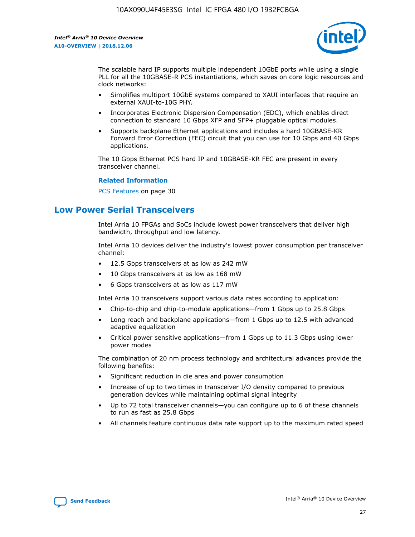

The scalable hard IP supports multiple independent 10GbE ports while using a single PLL for all the 10GBASE-R PCS instantiations, which saves on core logic resources and clock networks:

- Simplifies multiport 10GbE systems compared to XAUI interfaces that require an external XAUI-to-10G PHY.
- Incorporates Electronic Dispersion Compensation (EDC), which enables direct connection to standard 10 Gbps XFP and SFP+ pluggable optical modules.
- Supports backplane Ethernet applications and includes a hard 10GBASE-KR Forward Error Correction (FEC) circuit that you can use for 10 Gbps and 40 Gbps applications.

The 10 Gbps Ethernet PCS hard IP and 10GBASE-KR FEC are present in every transceiver channel.

#### **Related Information**

PCS Features on page 30

# **Low Power Serial Transceivers**

Intel Arria 10 FPGAs and SoCs include lowest power transceivers that deliver high bandwidth, throughput and low latency.

Intel Arria 10 devices deliver the industry's lowest power consumption per transceiver channel:

- 12.5 Gbps transceivers at as low as 242 mW
- 10 Gbps transceivers at as low as 168 mW
- 6 Gbps transceivers at as low as 117 mW

Intel Arria 10 transceivers support various data rates according to application:

- Chip-to-chip and chip-to-module applications—from 1 Gbps up to 25.8 Gbps
- Long reach and backplane applications—from 1 Gbps up to 12.5 with advanced adaptive equalization
- Critical power sensitive applications—from 1 Gbps up to 11.3 Gbps using lower power modes

The combination of 20 nm process technology and architectural advances provide the following benefits:

- Significant reduction in die area and power consumption
- Increase of up to two times in transceiver I/O density compared to previous generation devices while maintaining optimal signal integrity
- Up to 72 total transceiver channels—you can configure up to 6 of these channels to run as fast as 25.8 Gbps
- All channels feature continuous data rate support up to the maximum rated speed

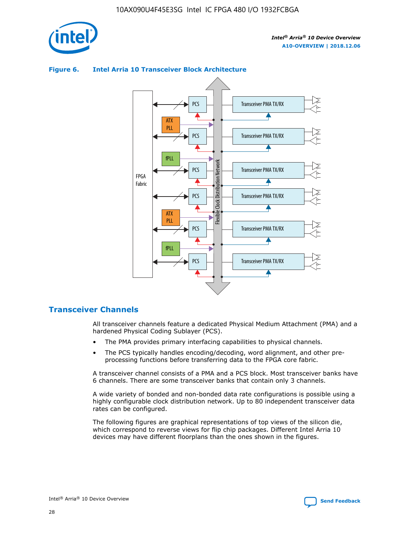



## **Figure 6. Intel Arria 10 Transceiver Block Architecture**

# **Transceiver Channels**

All transceiver channels feature a dedicated Physical Medium Attachment (PMA) and a hardened Physical Coding Sublayer (PCS).

- The PMA provides primary interfacing capabilities to physical channels.
- The PCS typically handles encoding/decoding, word alignment, and other preprocessing functions before transferring data to the FPGA core fabric.

A transceiver channel consists of a PMA and a PCS block. Most transceiver banks have 6 channels. There are some transceiver banks that contain only 3 channels.

A wide variety of bonded and non-bonded data rate configurations is possible using a highly configurable clock distribution network. Up to 80 independent transceiver data rates can be configured.

The following figures are graphical representations of top views of the silicon die, which correspond to reverse views for flip chip packages. Different Intel Arria 10 devices may have different floorplans than the ones shown in the figures.

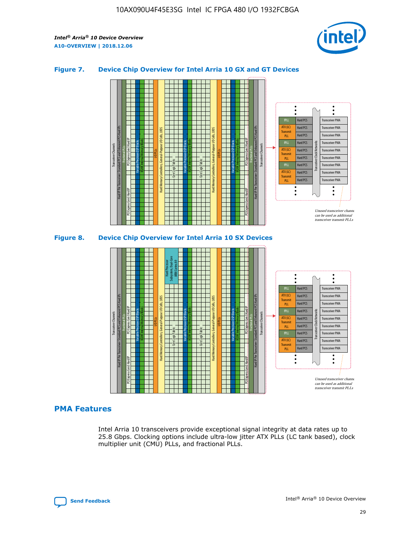

## **Figure 7. Device Chip Overview for Intel Arria 10 GX and GT Devices**



M20K Internal Memory Blocks Core Logic Fabric Transceiver Channels Hard IP Per Transceiver: Standard PCS and Enhanced PCS Hard IPs PCI Express Gen3 Hard IP Fractional PLLs M20K Internal Memory Blocks PCI Express Gen3 Hard IP Variable Precision DSP Blocks I/O PLLs Hard Memory Controllers, General-Purpose I/O Cells, LVDS Hard Processor Subsystem, Dual-Core ARM Cortex A9 M20K Internal Memory Blocks Variable Precision DSP Blocks M20K Internal Memory Blocks Core Logic Fabric I/O PLLs Hard Memory Controllers, General-Purpose I/O Cells, LVDS M20K Internal Memory Blocks Variable Precision DSP Blocks M20K Internal Memory Blocks Transceiver Channels Hard IP Per Transceiver: Standard PCS and Enhanced PCS Hard IPs PCI Express Gen3 Hard IP Fractional PLLs PCI Express Gen3 Hard IP Hard PCS Hard PCS Hard PCS Hard PCS Hard PCS Hard PCS Hard PCS Hard PCS Transceiver PMA Transceiver PMA Transceiver PMA Transceiver PMA Transceiver PMA Transceiver PMA Unused transceiver chann can be used as additional transceiver transmit PLLs Transceiver PMA Transceiver PMA Transceiver Clock Networks ATX (LC) **Transmit** PLL fPLL ATX (LC) Transmi PLL fPLL ATX (LC) **Transmit** PLL

# **PMA Features**

Intel Arria 10 transceivers provide exceptional signal integrity at data rates up to 25.8 Gbps. Clocking options include ultra-low jitter ATX PLLs (LC tank based), clock multiplier unit (CMU) PLLs, and fractional PLLs.

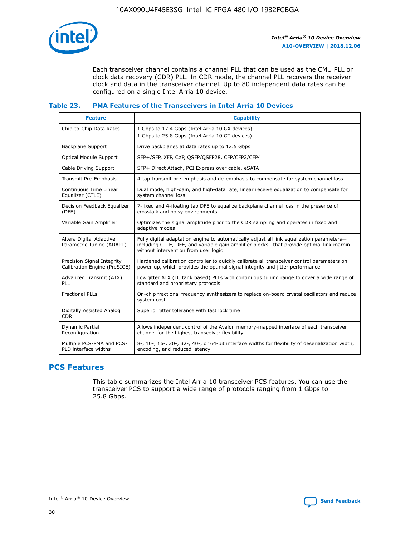

Each transceiver channel contains a channel PLL that can be used as the CMU PLL or clock data recovery (CDR) PLL. In CDR mode, the channel PLL recovers the receiver clock and data in the transceiver channel. Up to 80 independent data rates can be configured on a single Intel Arria 10 device.

## **Table 23. PMA Features of the Transceivers in Intel Arria 10 Devices**

| <b>Feature</b>                                             | <b>Capability</b>                                                                                                                                                                                                             |
|------------------------------------------------------------|-------------------------------------------------------------------------------------------------------------------------------------------------------------------------------------------------------------------------------|
| Chip-to-Chip Data Rates                                    | 1 Gbps to 17.4 Gbps (Intel Arria 10 GX devices)<br>1 Gbps to 25.8 Gbps (Intel Arria 10 GT devices)                                                                                                                            |
| Backplane Support                                          | Drive backplanes at data rates up to 12.5 Gbps                                                                                                                                                                                |
| <b>Optical Module Support</b>                              | SFP+/SFP, XFP, CXP, QSFP/QSFP28, CFP/CFP2/CFP4                                                                                                                                                                                |
| Cable Driving Support                                      | SFP+ Direct Attach, PCI Express over cable, eSATA                                                                                                                                                                             |
| Transmit Pre-Emphasis                                      | 4-tap transmit pre-emphasis and de-emphasis to compensate for system channel loss                                                                                                                                             |
| Continuous Time Linear<br>Equalizer (CTLE)                 | Dual mode, high-gain, and high-data rate, linear receive equalization to compensate for<br>system channel loss                                                                                                                |
| Decision Feedback Equalizer<br>(DFE)                       | 7-fixed and 4-floating tap DFE to equalize backplane channel loss in the presence of<br>crosstalk and noisy environments                                                                                                      |
| Variable Gain Amplifier                                    | Optimizes the signal amplitude prior to the CDR sampling and operates in fixed and<br>adaptive modes                                                                                                                          |
| Altera Digital Adaptive<br>Parametric Tuning (ADAPT)       | Fully digital adaptation engine to automatically adjust all link equalization parameters-<br>including CTLE, DFE, and variable gain amplifier blocks—that provide optimal link margin<br>without intervention from user logic |
| Precision Signal Integrity<br>Calibration Engine (PreSICE) | Hardened calibration controller to quickly calibrate all transceiver control parameters on<br>power-up, which provides the optimal signal integrity and jitter performance                                                    |
| Advanced Transmit (ATX)<br><b>PLL</b>                      | Low jitter ATX (LC tank based) PLLs with continuous tuning range to cover a wide range of<br>standard and proprietary protocols                                                                                               |
| <b>Fractional PLLs</b>                                     | On-chip fractional frequency synthesizers to replace on-board crystal oscillators and reduce<br>system cost                                                                                                                   |
| Digitally Assisted Analog<br><b>CDR</b>                    | Superior jitter tolerance with fast lock time                                                                                                                                                                                 |
| Dynamic Partial<br>Reconfiguration                         | Allows independent control of the Avalon memory-mapped interface of each transceiver<br>channel for the highest transceiver flexibility                                                                                       |
| Multiple PCS-PMA and PCS-<br>PLD interface widths          | 8-, 10-, 16-, 20-, 32-, 40-, or 64-bit interface widths for flexibility of deserialization width,<br>encoding, and reduced latency                                                                                            |

# **PCS Features**

This table summarizes the Intel Arria 10 transceiver PCS features. You can use the transceiver PCS to support a wide range of protocols ranging from 1 Gbps to 25.8 Gbps.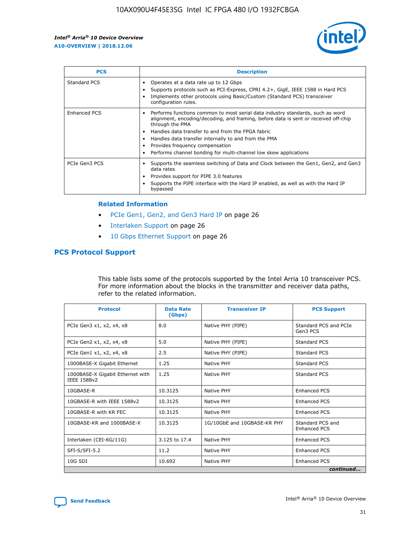

| <b>PCS</b>    | <b>Description</b>                                                                                                                                                                                                                                                                                                                                                                                             |
|---------------|----------------------------------------------------------------------------------------------------------------------------------------------------------------------------------------------------------------------------------------------------------------------------------------------------------------------------------------------------------------------------------------------------------------|
| Standard PCS  | Operates at a data rate up to 12 Gbps<br>Supports protocols such as PCI-Express, CPRI 4.2+, GigE, IEEE 1588 in Hard PCS<br>Implements other protocols using Basic/Custom (Standard PCS) transceiver<br>configuration rules.                                                                                                                                                                                    |
| Enhanced PCS  | Performs functions common to most serial data industry standards, such as word<br>alignment, encoding/decoding, and framing, before data is sent or received off-chip<br>through the PMA<br>• Handles data transfer to and from the FPGA fabric<br>Handles data transfer internally to and from the PMA<br>Provides frequency compensation<br>Performs channel bonding for multi-channel low skew applications |
| PCIe Gen3 PCS | Supports the seamless switching of Data and Clock between the Gen1, Gen2, and Gen3<br>data rates<br>Provides support for PIPE 3.0 features<br>Supports the PIPE interface with the Hard IP enabled, as well as with the Hard IP<br>bypassed                                                                                                                                                                    |

#### **Related Information**

- PCIe Gen1, Gen2, and Gen3 Hard IP on page 26
- Interlaken Support on page 26
- 10 Gbps Ethernet Support on page 26

# **PCS Protocol Support**

This table lists some of the protocols supported by the Intel Arria 10 transceiver PCS. For more information about the blocks in the transmitter and receiver data paths, refer to the related information.

| <b>Protocol</b>                                 | <b>Data Rate</b><br>(Gbps) | <b>Transceiver IP</b>       | <b>PCS Support</b>                      |
|-------------------------------------------------|----------------------------|-----------------------------|-----------------------------------------|
| PCIe Gen3 x1, x2, x4, x8                        | 8.0                        | Native PHY (PIPE)           | Standard PCS and PCIe<br>Gen3 PCS       |
| PCIe Gen2 x1, x2, x4, x8                        | 5.0                        | Native PHY (PIPE)           | <b>Standard PCS</b>                     |
| PCIe Gen1 x1, x2, x4, x8                        | 2.5                        | Native PHY (PIPE)           | Standard PCS                            |
| 1000BASE-X Gigabit Ethernet                     | 1.25                       | Native PHY                  | <b>Standard PCS</b>                     |
| 1000BASE-X Gigabit Ethernet with<br>IEEE 1588v2 | 1.25                       | Native PHY                  | Standard PCS                            |
| 10GBASE-R                                       | 10.3125                    | Native PHY                  | <b>Enhanced PCS</b>                     |
| 10GBASE-R with IEEE 1588v2                      | 10.3125                    | Native PHY                  | <b>Enhanced PCS</b>                     |
| 10GBASE-R with KR FEC                           | 10.3125                    | Native PHY                  | <b>Enhanced PCS</b>                     |
| 10GBASE-KR and 1000BASE-X                       | 10.3125                    | 1G/10GbE and 10GBASE-KR PHY | Standard PCS and<br><b>Enhanced PCS</b> |
| Interlaken (CEI-6G/11G)                         | 3.125 to 17.4              | Native PHY                  | <b>Enhanced PCS</b>                     |
| SFI-S/SFI-5.2                                   | 11.2                       | Native PHY                  | <b>Enhanced PCS</b>                     |
| $10G$ SDI                                       | 10.692                     | Native PHY                  | <b>Enhanced PCS</b>                     |
|                                                 |                            |                             | continued                               |

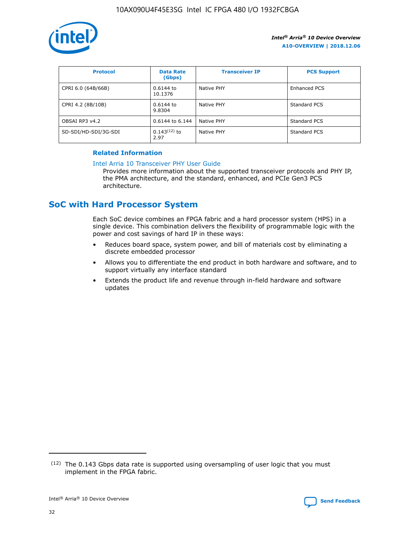

| <b>Protocol</b>      | <b>Data Rate</b><br>(Gbps) | <b>Transceiver IP</b> | <b>PCS Support</b> |
|----------------------|----------------------------|-----------------------|--------------------|
| CPRI 6.0 (64B/66B)   | 0.6144 to<br>10.1376       | Native PHY            | Enhanced PCS       |
| CPRI 4.2 (8B/10B)    | 0.6144 to<br>9.8304        | Native PHY            | Standard PCS       |
| OBSAI RP3 v4.2       | 0.6144 to 6.144            | Native PHY            | Standard PCS       |
| SD-SDI/HD-SDI/3G-SDI | $0.143(12)$ to<br>2.97     | Native PHY            | Standard PCS       |

# **Related Information**

#### [Intel Arria 10 Transceiver PHY User Guide](https://www.intel.com/content/www/us/en/programmable/documentation/nik1398707230472.html#nik1398707091164)

Provides more information about the supported transceiver protocols and PHY IP, the PMA architecture, and the standard, enhanced, and PCIe Gen3 PCS architecture.

# **SoC with Hard Processor System**

Each SoC device combines an FPGA fabric and a hard processor system (HPS) in a single device. This combination delivers the flexibility of programmable logic with the power and cost savings of hard IP in these ways:

- Reduces board space, system power, and bill of materials cost by eliminating a discrete embedded processor
- Allows you to differentiate the end product in both hardware and software, and to support virtually any interface standard
- Extends the product life and revenue through in-field hardware and software updates

 $(12)$  The 0.143 Gbps data rate is supported using oversampling of user logic that you must implement in the FPGA fabric.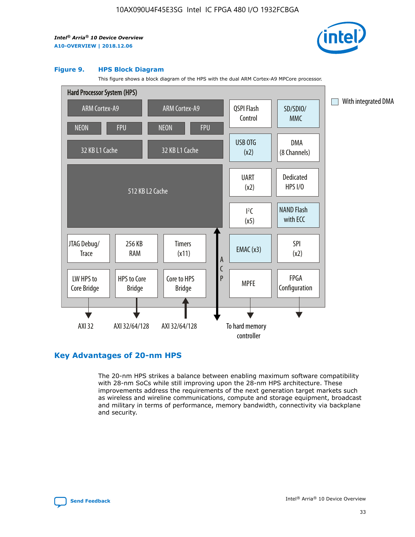

#### **Figure 9. HPS Block Diagram**

This figure shows a block diagram of the HPS with the dual ARM Cortex-A9 MPCore processor.



# **Key Advantages of 20-nm HPS**

The 20-nm HPS strikes a balance between enabling maximum software compatibility with 28-nm SoCs while still improving upon the 28-nm HPS architecture. These improvements address the requirements of the next generation target markets such as wireless and wireline communications, compute and storage equipment, broadcast and military in terms of performance, memory bandwidth, connectivity via backplane and security.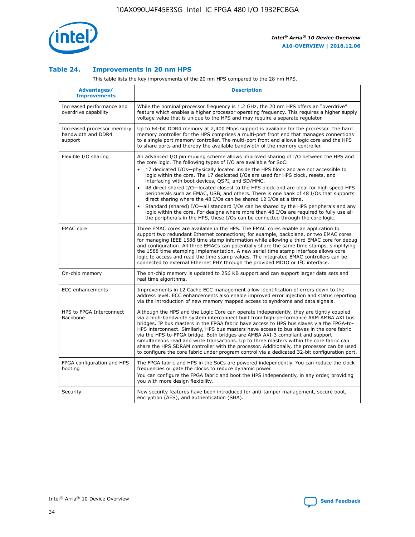

## **Table 24. Improvements in 20 nm HPS**

This table lists the key improvements of the 20 nm HPS compared to the 28 nm HPS.

| Advantages/<br><b>Improvements</b>                          | <b>Description</b>                                                                                                                                                                                                                                                                                                                                                                                                                                                                                                                                                                                                                                                                                                                                                                                                                                                                                                      |
|-------------------------------------------------------------|-------------------------------------------------------------------------------------------------------------------------------------------------------------------------------------------------------------------------------------------------------------------------------------------------------------------------------------------------------------------------------------------------------------------------------------------------------------------------------------------------------------------------------------------------------------------------------------------------------------------------------------------------------------------------------------------------------------------------------------------------------------------------------------------------------------------------------------------------------------------------------------------------------------------------|
| Increased performance and<br>overdrive capability           | While the nominal processor frequency is 1.2 GHz, the 20 nm HPS offers an "overdrive"<br>feature which enables a higher processor operating frequency. This requires a higher supply<br>voltage value that is unique to the HPS and may require a separate regulator.                                                                                                                                                                                                                                                                                                                                                                                                                                                                                                                                                                                                                                                   |
| Increased processor memory<br>bandwidth and DDR4<br>support | Up to 64-bit DDR4 memory at 2,400 Mbps support is available for the processor. The hard<br>memory controller for the HPS comprises a multi-port front end that manages connections<br>to a single port memory controller. The multi-port front end allows logic core and the HPS<br>to share ports and thereby the available bandwidth of the memory controller.                                                                                                                                                                                                                                                                                                                                                                                                                                                                                                                                                        |
| Flexible I/O sharing                                        | An advanced I/O pin muxing scheme allows improved sharing of I/O between the HPS and<br>the core logic. The following types of I/O are available for SoC:<br>17 dedicated I/Os-physically located inside the HPS block and are not accessible to<br>logic within the core. The 17 dedicated I/Os are used for HPS clock, resets, and<br>interfacing with boot devices, QSPI, and SD/MMC.<br>48 direct shared I/O-located closest to the HPS block and are ideal for high speed HPS<br>peripherals such as EMAC, USB, and others. There is one bank of 48 I/Os that supports<br>direct sharing where the 48 I/Os can be shared 12 I/Os at a time.<br>Standard (shared) I/O—all standard I/Os can be shared by the HPS peripherals and any<br>logic within the core. For designs where more than 48 I/Os are required to fully use all<br>the peripherals in the HPS, these I/Os can be connected through the core logic. |
| <b>EMAC</b> core                                            | Three EMAC cores are available in the HPS. The EMAC cores enable an application to<br>support two redundant Ethernet connections; for example, backplane, or two EMAC cores<br>for managing IEEE 1588 time stamp information while allowing a third EMAC core for debug<br>and configuration. All three EMACs can potentially share the same time stamps, simplifying<br>the 1588 time stamping implementation. A new serial time stamp interface allows core<br>logic to access and read the time stamp values. The integrated EMAC controllers can be<br>connected to external Ethernet PHY through the provided MDIO or I <sup>2</sup> C interface.                                                                                                                                                                                                                                                                  |
| On-chip memory                                              | The on-chip memory is updated to 256 KB support and can support larger data sets and<br>real time algorithms.                                                                                                                                                                                                                                                                                                                                                                                                                                                                                                                                                                                                                                                                                                                                                                                                           |
| <b>ECC</b> enhancements                                     | Improvements in L2 Cache ECC management allow identification of errors down to the<br>address level. ECC enhancements also enable improved error injection and status reporting<br>via the introduction of new memory mapped access to syndrome and data signals.                                                                                                                                                                                                                                                                                                                                                                                                                                                                                                                                                                                                                                                       |
| HPS to FPGA Interconnect<br>Backbone                        | Although the HPS and the Logic Core can operate independently, they are tightly coupled<br>via a high-bandwidth system interconnect built from high-performance ARM AMBA AXI bus<br>bridges. IP bus masters in the FPGA fabric have access to HPS bus slaves via the FPGA-to-<br>HPS interconnect. Similarly, HPS bus masters have access to bus slaves in the core fabric<br>via the HPS-to-FPGA bridge. Both bridges are AMBA AXI-3 compliant and support<br>simultaneous read and write transactions. Up to three masters within the core fabric can<br>share the HPS SDRAM controller with the processor. Additionally, the processor can be used<br>to configure the core fabric under program control via a dedicated 32-bit configuration port.                                                                                                                                                                  |
| FPGA configuration and HPS<br>booting                       | The FPGA fabric and HPS in the SoCs are powered independently. You can reduce the clock<br>frequencies or gate the clocks to reduce dynamic power.<br>You can configure the FPGA fabric and boot the HPS independently, in any order, providing<br>you with more design flexibility.                                                                                                                                                                                                                                                                                                                                                                                                                                                                                                                                                                                                                                    |
| Security                                                    | New security features have been introduced for anti-tamper management, secure boot,<br>encryption (AES), and authentication (SHA).                                                                                                                                                                                                                                                                                                                                                                                                                                                                                                                                                                                                                                                                                                                                                                                      |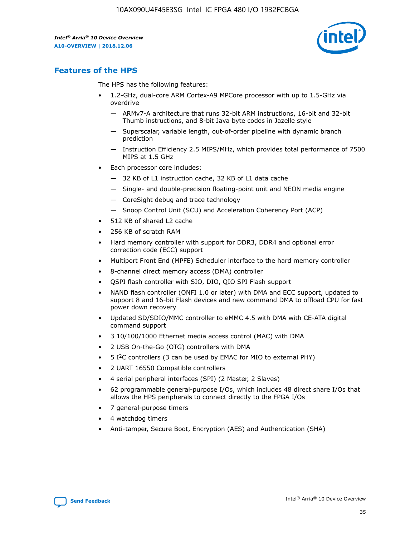

# **Features of the HPS**

The HPS has the following features:

- 1.2-GHz, dual-core ARM Cortex-A9 MPCore processor with up to 1.5-GHz via overdrive
	- ARMv7-A architecture that runs 32-bit ARM instructions, 16-bit and 32-bit Thumb instructions, and 8-bit Java byte codes in Jazelle style
	- Superscalar, variable length, out-of-order pipeline with dynamic branch prediction
	- Instruction Efficiency 2.5 MIPS/MHz, which provides total performance of 7500 MIPS at 1.5 GHz
- Each processor core includes:
	- 32 KB of L1 instruction cache, 32 KB of L1 data cache
	- Single- and double-precision floating-point unit and NEON media engine
	- CoreSight debug and trace technology
	- Snoop Control Unit (SCU) and Acceleration Coherency Port (ACP)
- 512 KB of shared L2 cache
- 256 KB of scratch RAM
- Hard memory controller with support for DDR3, DDR4 and optional error correction code (ECC) support
- Multiport Front End (MPFE) Scheduler interface to the hard memory controller
- 8-channel direct memory access (DMA) controller
- QSPI flash controller with SIO, DIO, QIO SPI Flash support
- NAND flash controller (ONFI 1.0 or later) with DMA and ECC support, updated to support 8 and 16-bit Flash devices and new command DMA to offload CPU for fast power down recovery
- Updated SD/SDIO/MMC controller to eMMC 4.5 with DMA with CE-ATA digital command support
- 3 10/100/1000 Ethernet media access control (MAC) with DMA
- 2 USB On-the-Go (OTG) controllers with DMA
- $\bullet$  5 I<sup>2</sup>C controllers (3 can be used by EMAC for MIO to external PHY)
- 2 UART 16550 Compatible controllers
- 4 serial peripheral interfaces (SPI) (2 Master, 2 Slaves)
- 62 programmable general-purpose I/Os, which includes 48 direct share I/Os that allows the HPS peripherals to connect directly to the FPGA I/Os
- 7 general-purpose timers
- 4 watchdog timers
- Anti-tamper, Secure Boot, Encryption (AES) and Authentication (SHA)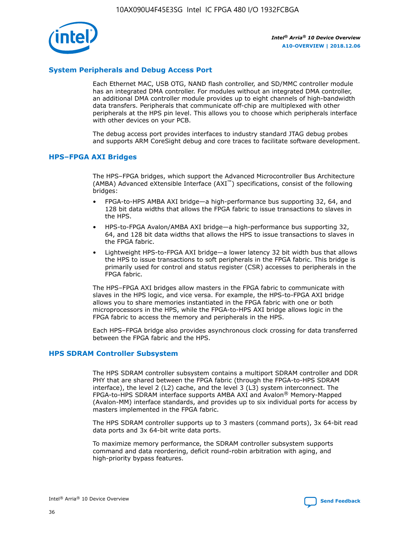

# **System Peripherals and Debug Access Port**

Each Ethernet MAC, USB OTG, NAND flash controller, and SD/MMC controller module has an integrated DMA controller. For modules without an integrated DMA controller, an additional DMA controller module provides up to eight channels of high-bandwidth data transfers. Peripherals that communicate off-chip are multiplexed with other peripherals at the HPS pin level. This allows you to choose which peripherals interface with other devices on your PCB.

The debug access port provides interfaces to industry standard JTAG debug probes and supports ARM CoreSight debug and core traces to facilitate software development.

#### **HPS–FPGA AXI Bridges**

The HPS–FPGA bridges, which support the Advanced Microcontroller Bus Architecture (AMBA) Advanced eXtensible Interface (AXI™) specifications, consist of the following bridges:

- FPGA-to-HPS AMBA AXI bridge—a high-performance bus supporting 32, 64, and 128 bit data widths that allows the FPGA fabric to issue transactions to slaves in the HPS.
- HPS-to-FPGA Avalon/AMBA AXI bridge—a high-performance bus supporting 32, 64, and 128 bit data widths that allows the HPS to issue transactions to slaves in the FPGA fabric.
- Lightweight HPS-to-FPGA AXI bridge—a lower latency 32 bit width bus that allows the HPS to issue transactions to soft peripherals in the FPGA fabric. This bridge is primarily used for control and status register (CSR) accesses to peripherals in the FPGA fabric.

The HPS–FPGA AXI bridges allow masters in the FPGA fabric to communicate with slaves in the HPS logic, and vice versa. For example, the HPS-to-FPGA AXI bridge allows you to share memories instantiated in the FPGA fabric with one or both microprocessors in the HPS, while the FPGA-to-HPS AXI bridge allows logic in the FPGA fabric to access the memory and peripherals in the HPS.

Each HPS–FPGA bridge also provides asynchronous clock crossing for data transferred between the FPGA fabric and the HPS.

#### **HPS SDRAM Controller Subsystem**

The HPS SDRAM controller subsystem contains a multiport SDRAM controller and DDR PHY that are shared between the FPGA fabric (through the FPGA-to-HPS SDRAM interface), the level 2 (L2) cache, and the level 3 (L3) system interconnect. The FPGA-to-HPS SDRAM interface supports AMBA AXI and Avalon® Memory-Mapped (Avalon-MM) interface standards, and provides up to six individual ports for access by masters implemented in the FPGA fabric.

The HPS SDRAM controller supports up to 3 masters (command ports), 3x 64-bit read data ports and 3x 64-bit write data ports.

To maximize memory performance, the SDRAM controller subsystem supports command and data reordering, deficit round-robin arbitration with aging, and high-priority bypass features.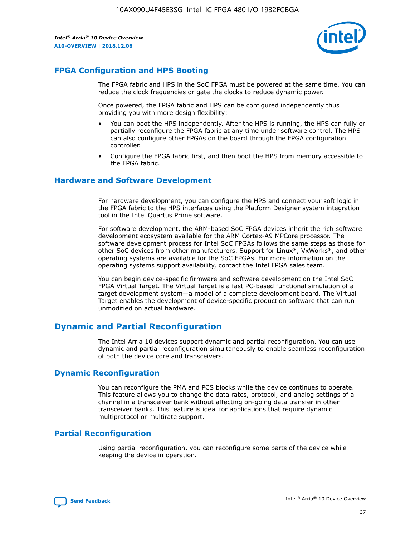

# **FPGA Configuration and HPS Booting**

The FPGA fabric and HPS in the SoC FPGA must be powered at the same time. You can reduce the clock frequencies or gate the clocks to reduce dynamic power.

Once powered, the FPGA fabric and HPS can be configured independently thus providing you with more design flexibility:

- You can boot the HPS independently. After the HPS is running, the HPS can fully or partially reconfigure the FPGA fabric at any time under software control. The HPS can also configure other FPGAs on the board through the FPGA configuration controller.
- Configure the FPGA fabric first, and then boot the HPS from memory accessible to the FPGA fabric.

## **Hardware and Software Development**

For hardware development, you can configure the HPS and connect your soft logic in the FPGA fabric to the HPS interfaces using the Platform Designer system integration tool in the Intel Quartus Prime software.

For software development, the ARM-based SoC FPGA devices inherit the rich software development ecosystem available for the ARM Cortex-A9 MPCore processor. The software development process for Intel SoC FPGAs follows the same steps as those for other SoC devices from other manufacturers. Support for Linux\*, VxWorks\*, and other operating systems are available for the SoC FPGAs. For more information on the operating systems support availability, contact the Intel FPGA sales team.

You can begin device-specific firmware and software development on the Intel SoC FPGA Virtual Target. The Virtual Target is a fast PC-based functional simulation of a target development system—a model of a complete development board. The Virtual Target enables the development of device-specific production software that can run unmodified on actual hardware.

# **Dynamic and Partial Reconfiguration**

The Intel Arria 10 devices support dynamic and partial reconfiguration. You can use dynamic and partial reconfiguration simultaneously to enable seamless reconfiguration of both the device core and transceivers.

# **Dynamic Reconfiguration**

You can reconfigure the PMA and PCS blocks while the device continues to operate. This feature allows you to change the data rates, protocol, and analog settings of a channel in a transceiver bank without affecting on-going data transfer in other transceiver banks. This feature is ideal for applications that require dynamic multiprotocol or multirate support.

# **Partial Reconfiguration**

Using partial reconfiguration, you can reconfigure some parts of the device while keeping the device in operation.

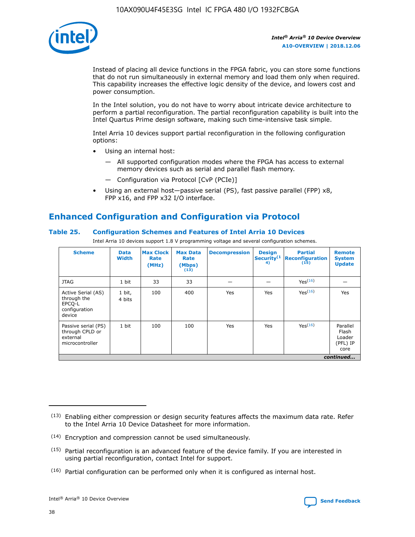

Instead of placing all device functions in the FPGA fabric, you can store some functions that do not run simultaneously in external memory and load them only when required. This capability increases the effective logic density of the device, and lowers cost and power consumption.

In the Intel solution, you do not have to worry about intricate device architecture to perform a partial reconfiguration. The partial reconfiguration capability is built into the Intel Quartus Prime design software, making such time-intensive task simple.

Intel Arria 10 devices support partial reconfiguration in the following configuration options:

- Using an internal host:
	- All supported configuration modes where the FPGA has access to external memory devices such as serial and parallel flash memory.
	- Configuration via Protocol [CvP (PCIe)]
- Using an external host—passive serial (PS), fast passive parallel (FPP) x8, FPP x16, and FPP x32 I/O interface.

# **Enhanced Configuration and Configuration via Protocol**

# **Table 25. Configuration Schemes and Features of Intel Arria 10 Devices**

Intel Arria 10 devices support 1.8 V programming voltage and several configuration schemes.

| <b>Scheme</b>                                                          | <b>Data</b><br><b>Width</b> | <b>Max Clock</b><br>Rate<br>(MHz) | <b>Max Data</b><br>Rate<br>(Mbps)<br>(13) | <b>Decompression</b> | <b>Design</b><br>Security <sup>(1</sup><br>4) | <b>Partial</b><br><b>Reconfiguration</b><br>(15) | <b>Remote</b><br><b>System</b><br><b>Update</b> |
|------------------------------------------------------------------------|-----------------------------|-----------------------------------|-------------------------------------------|----------------------|-----------------------------------------------|--------------------------------------------------|-------------------------------------------------|
| <b>JTAG</b>                                                            | 1 bit                       | 33                                | 33                                        |                      |                                               | Yes(16)                                          |                                                 |
| Active Serial (AS)<br>through the<br>EPCO-L<br>configuration<br>device | 1 bit,<br>4 bits            | 100                               | 400                                       | Yes                  | Yes                                           | $Y_{PS}(16)$                                     | Yes                                             |
| Passive serial (PS)<br>through CPLD or<br>external<br>microcontroller  | 1 bit                       | 100                               | 100                                       | Yes                  | Yes                                           | Yes(16)                                          | Parallel<br>Flash<br>Loader<br>(PFL) IP<br>core |
|                                                                        |                             |                                   |                                           |                      |                                               |                                                  | continued                                       |

<sup>(13)</sup> Enabling either compression or design security features affects the maximum data rate. Refer to the Intel Arria 10 Device Datasheet for more information.

<sup>(14)</sup> Encryption and compression cannot be used simultaneously.

 $(15)$  Partial reconfiguration is an advanced feature of the device family. If you are interested in using partial reconfiguration, contact Intel for support.

 $(16)$  Partial configuration can be performed only when it is configured as internal host.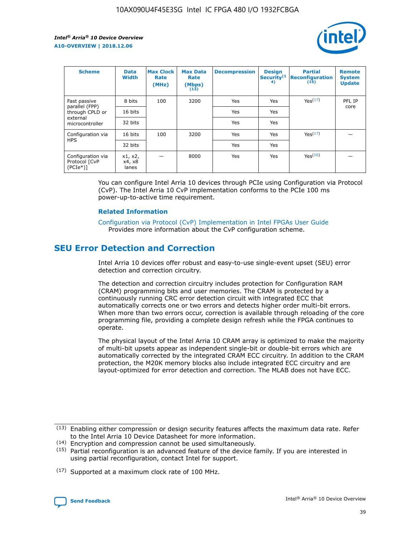

| <b>Scheme</b>                                    | <b>Data</b><br><b>Width</b> | <b>Max Clock</b><br>Rate<br>(MHz) | <b>Max Data</b><br>Rate<br>(Mbps)<br>(13) | <b>Decompression</b> | <b>Design</b><br>Security <sup>(1</sup><br>4) | <b>Partial</b><br><b>Reconfiguration</b><br>(15) | <b>Remote</b><br><b>System</b><br><b>Update</b> |
|--------------------------------------------------|-----------------------------|-----------------------------------|-------------------------------------------|----------------------|-----------------------------------------------|--------------------------------------------------|-------------------------------------------------|
| Fast passive                                     | 8 bits                      | 100                               | 3200                                      | Yes                  | Yes                                           | Yes(17)                                          | PFL IP                                          |
| parallel (FPP)<br>through CPLD or                | 16 bits                     |                                   |                                           | Yes                  | Yes                                           |                                                  | core                                            |
| external<br>microcontroller                      | 32 bits                     |                                   |                                           | Yes                  | Yes                                           |                                                  |                                                 |
| Configuration via                                | 16 bits                     | 100                               | 3200                                      | Yes                  | Yes                                           | Yes <sup>(17)</sup>                              |                                                 |
| <b>HPS</b>                                       | 32 bits                     |                                   |                                           | Yes                  | Yes                                           |                                                  |                                                 |
| Configuration via<br>Protocol [CvP<br>$(PCIe^*)$ | x1, x2,<br>x4, x8<br>lanes  |                                   | 8000                                      | Yes                  | Yes                                           | Yes(16)                                          |                                                 |

You can configure Intel Arria 10 devices through PCIe using Configuration via Protocol (CvP). The Intel Arria 10 CvP implementation conforms to the PCIe 100 ms power-up-to-active time requirement.

#### **Related Information**

[Configuration via Protocol \(CvP\) Implementation in Intel FPGAs User Guide](https://www.intel.com/content/www/us/en/programmable/documentation/dsu1441819344145.html#dsu1442269728522) Provides more information about the CvP configuration scheme.

# **SEU Error Detection and Correction**

Intel Arria 10 devices offer robust and easy-to-use single-event upset (SEU) error detection and correction circuitry.

The detection and correction circuitry includes protection for Configuration RAM (CRAM) programming bits and user memories. The CRAM is protected by a continuously running CRC error detection circuit with integrated ECC that automatically corrects one or two errors and detects higher order multi-bit errors. When more than two errors occur, correction is available through reloading of the core programming file, providing a complete design refresh while the FPGA continues to operate.

The physical layout of the Intel Arria 10 CRAM array is optimized to make the majority of multi-bit upsets appear as independent single-bit or double-bit errors which are automatically corrected by the integrated CRAM ECC circuitry. In addition to the CRAM protection, the M20K memory blocks also include integrated ECC circuitry and are layout-optimized for error detection and correction. The MLAB does not have ECC.

(14) Encryption and compression cannot be used simultaneously.

<sup>(17)</sup> Supported at a maximum clock rate of 100 MHz.



 $(13)$  Enabling either compression or design security features affects the maximum data rate. Refer to the Intel Arria 10 Device Datasheet for more information.

 $(15)$  Partial reconfiguration is an advanced feature of the device family. If you are interested in using partial reconfiguration, contact Intel for support.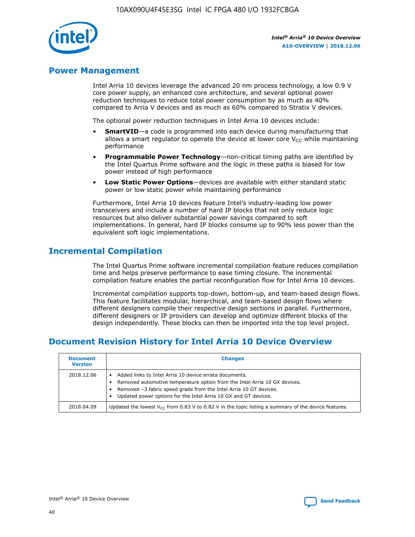

# **Power Management**

Intel Arria 10 devices leverage the advanced 20 nm process technology, a low 0.9 V core power supply, an enhanced core architecture, and several optional power reduction techniques to reduce total power consumption by as much as 40% compared to Arria V devices and as much as 60% compared to Stratix V devices.

The optional power reduction techniques in Intel Arria 10 devices include:

- **SmartVID**—a code is programmed into each device during manufacturing that allows a smart regulator to operate the device at lower core  $V_{CC}$  while maintaining performance
- **Programmable Power Technology**—non-critical timing paths are identified by the Intel Quartus Prime software and the logic in these paths is biased for low power instead of high performance
- **Low Static Power Options**—devices are available with either standard static power or low static power while maintaining performance

Furthermore, Intel Arria 10 devices feature Intel's industry-leading low power transceivers and include a number of hard IP blocks that not only reduce logic resources but also deliver substantial power savings compared to soft implementations. In general, hard IP blocks consume up to 90% less power than the equivalent soft logic implementations.

# **Incremental Compilation**

The Intel Quartus Prime software incremental compilation feature reduces compilation time and helps preserve performance to ease timing closure. The incremental compilation feature enables the partial reconfiguration flow for Intel Arria 10 devices.

Incremental compilation supports top-down, bottom-up, and team-based design flows. This feature facilitates modular, hierarchical, and team-based design flows where different designers compile their respective design sections in parallel. Furthermore, different designers or IP providers can develop and optimize different blocks of the design independently. These blocks can then be imported into the top level project.

# **Document Revision History for Intel Arria 10 Device Overview**

| <b>Document</b><br><b>Version</b> | <b>Changes</b>                                                                                                                                                                                                                                                              |
|-----------------------------------|-----------------------------------------------------------------------------------------------------------------------------------------------------------------------------------------------------------------------------------------------------------------------------|
| 2018.12.06                        | Added links to Intel Arria 10 device errata documents.<br>Removed automotive temperature option from the Intel Arria 10 GX devices.<br>Removed -3 fabric speed grade from the Intel Arria 10 GT devices.<br>Updated power options for the Intel Arria 10 GX and GT devices. |
| 2018.04.09                        | Updated the lowest $V_{CC}$ from 0.83 V to 0.82 V in the topic listing a summary of the device features.                                                                                                                                                                    |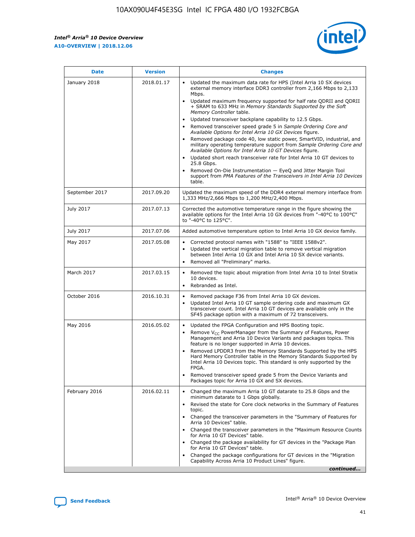*Intel® Arria® 10 Device Overview* **A10-OVERVIEW | 2018.12.06**



| <b>Date</b>    | <b>Version</b> | <b>Changes</b>                                                                                                                                                                                                                                                                                                                                                                                                                                                                                                                                                                                                                                                                                                                                                                                                                                                                                                                                                            |
|----------------|----------------|---------------------------------------------------------------------------------------------------------------------------------------------------------------------------------------------------------------------------------------------------------------------------------------------------------------------------------------------------------------------------------------------------------------------------------------------------------------------------------------------------------------------------------------------------------------------------------------------------------------------------------------------------------------------------------------------------------------------------------------------------------------------------------------------------------------------------------------------------------------------------------------------------------------------------------------------------------------------------|
| January 2018   | 2018.01.17     | Updated the maximum data rate for HPS (Intel Arria 10 SX devices<br>external memory interface DDR3 controller from 2,166 Mbps to 2,133<br>Mbps.<br>Updated maximum frequency supported for half rate QDRII and QDRII<br>+ SRAM to 633 MHz in Memory Standards Supported by the Soft<br>Memory Controller table.<br>Updated transceiver backplane capability to 12.5 Gbps.<br>$\bullet$<br>Removed transceiver speed grade 5 in Sample Ordering Core and<br>Available Options for Intel Arria 10 GX Devices figure.<br>Removed package code 40, low static power, SmartVID, industrial, and<br>military operating temperature support from Sample Ordering Core and<br>Available Options for Intel Arria 10 GT Devices figure.<br>Updated short reach transceiver rate for Intel Arria 10 GT devices to<br>25.8 Gbps.<br>Removed On-Die Instrumentation - EyeQ and Jitter Margin Tool<br>support from PMA Features of the Transceivers in Intel Arria 10 Devices<br>table. |
| September 2017 | 2017.09.20     | Updated the maximum speed of the DDR4 external memory interface from<br>1,333 MHz/2,666 Mbps to 1,200 MHz/2,400 Mbps.                                                                                                                                                                                                                                                                                                                                                                                                                                                                                                                                                                                                                                                                                                                                                                                                                                                     |
| July 2017      | 2017.07.13     | Corrected the automotive temperature range in the figure showing the<br>available options for the Intel Arria 10 GX devices from "-40°C to 100°C"<br>to "-40°C to 125°C".                                                                                                                                                                                                                                                                                                                                                                                                                                                                                                                                                                                                                                                                                                                                                                                                 |
| July 2017      | 2017.07.06     | Added automotive temperature option to Intel Arria 10 GX device family.                                                                                                                                                                                                                                                                                                                                                                                                                                                                                                                                                                                                                                                                                                                                                                                                                                                                                                   |
| May 2017       | 2017.05.08     | Corrected protocol names with "1588" to "IEEE 1588v2".<br>$\bullet$<br>Updated the vertical migration table to remove vertical migration<br>$\bullet$<br>between Intel Arria 10 GX and Intel Arria 10 SX device variants.<br>Removed all "Preliminary" marks.<br>$\bullet$                                                                                                                                                                                                                                                                                                                                                                                                                                                                                                                                                                                                                                                                                                |
| March 2017     | 2017.03.15     | Removed the topic about migration from Intel Arria 10 to Intel Stratix<br>10 devices.<br>Rebranded as Intel.<br>$\bullet$                                                                                                                                                                                                                                                                                                                                                                                                                                                                                                                                                                                                                                                                                                                                                                                                                                                 |
| October 2016   | 2016.10.31     | Removed package F36 from Intel Arria 10 GX devices.<br>Updated Intel Arria 10 GT sample ordering code and maximum GX<br>$\bullet$<br>transceiver count. Intel Arria 10 GT devices are available only in the<br>SF45 package option with a maximum of 72 transceivers.                                                                                                                                                                                                                                                                                                                                                                                                                                                                                                                                                                                                                                                                                                     |
| May 2016       | 2016.05.02     | Updated the FPGA Configuration and HPS Booting topic.<br>$\bullet$<br>Remove V <sub>CC</sub> PowerManager from the Summary of Features, Power<br>Management and Arria 10 Device Variants and packages topics. This<br>feature is no longer supported in Arria 10 devices.<br>Removed LPDDR3 from the Memory Standards Supported by the HPS<br>Hard Memory Controller table in the Memory Standards Supported by<br>Intel Arria 10 Devices topic. This standard is only supported by the<br>FPGA.<br>Removed transceiver speed grade 5 from the Device Variants and<br>Packages topic for Arria 10 GX and SX devices.                                                                                                                                                                                                                                                                                                                                                      |
| February 2016  | 2016.02.11     | Changed the maximum Arria 10 GT datarate to 25.8 Gbps and the<br>minimum datarate to 1 Gbps globally.<br>Revised the state for Core clock networks in the Summary of Features<br>$\bullet$<br>topic.<br>Changed the transceiver parameters in the "Summary of Features for<br>$\bullet$<br>Arria 10 Devices" table.<br>• Changed the transceiver parameters in the "Maximum Resource Counts<br>for Arria 10 GT Devices" table.<br>Changed the package availability for GT devices in the "Package Plan<br>for Arria 10 GT Devices" table.<br>Changed the package configurations for GT devices in the "Migration"<br>Capability Across Arria 10 Product Lines" figure.<br>continued                                                                                                                                                                                                                                                                                       |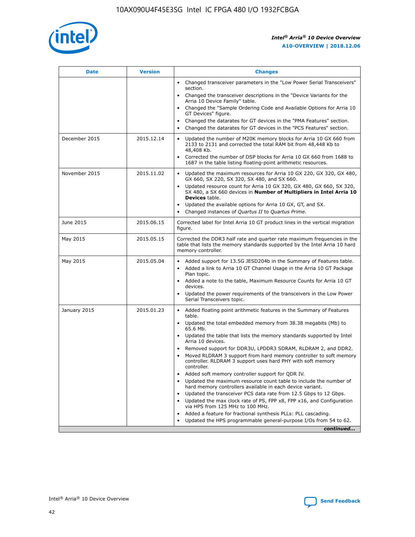

| <b>Date</b>   | <b>Version</b> | <b>Changes</b>                                                                                                                                                               |
|---------------|----------------|------------------------------------------------------------------------------------------------------------------------------------------------------------------------------|
|               |                | Changed transceiver parameters in the "Low Power Serial Transceivers"<br>$\bullet$<br>section.                                                                               |
|               |                | • Changed the transceiver descriptions in the "Device Variants for the<br>Arria 10 Device Family" table.                                                                     |
|               |                | • Changed the "Sample Ordering Code and Available Options for Arria 10<br>GT Devices" figure.                                                                                |
|               |                | Changed the datarates for GT devices in the "PMA Features" section.                                                                                                          |
|               |                | Changed the datarates for GT devices in the "PCS Features" section.<br>$\bullet$                                                                                             |
| December 2015 | 2015.12.14     | Updated the number of M20K memory blocks for Arria 10 GX 660 from<br>2133 to 2131 and corrected the total RAM bit from 48,448 Kb to<br>48,408 Kb.                            |
|               |                | Corrected the number of DSP blocks for Arria 10 GX 660 from 1688 to<br>$\bullet$<br>1687 in the table listing floating-point arithmetic resources.                           |
| November 2015 | 2015.11.02     | Updated the maximum resources for Arria 10 GX 220, GX 320, GX 480,<br>GX 660, SX 220, SX 320, SX 480, and SX 660.                                                            |
|               |                | Updated resource count for Arria 10 GX 320, GX 480, GX 660, SX 320,<br>SX 480, a SX 660 devices in Number of Multipliers in Intel Arria 10<br><b>Devices</b> table.          |
|               |                | Updated the available options for Arria 10 GX, GT, and SX.<br>$\bullet$                                                                                                      |
|               |                | Changed instances of Quartus II to Quartus Prime.<br>$\bullet$                                                                                                               |
| June 2015     | 2015.06.15     | Corrected label for Intel Arria 10 GT product lines in the vertical migration<br>figure.                                                                                     |
| May 2015      | 2015.05.15     | Corrected the DDR3 half rate and quarter rate maximum frequencies in the<br>table that lists the memory standards supported by the Intel Arria 10 hard<br>memory controller. |
| May 2015      | 2015.05.04     | • Added support for 13.5G JESD204b in the Summary of Features table.<br>Added a link to Arria 10 GT Channel Usage in the Arria 10 GT Package<br>$\bullet$<br>Plan topic.     |
|               |                | • Added a note to the table, Maximum Resource Counts for Arria 10 GT<br>devices.                                                                                             |
|               |                | • Updated the power requirements of the transceivers in the Low Power<br>Serial Transceivers topic.                                                                          |
| January 2015  | 2015.01.23     | • Added floating point arithmetic features in the Summary of Features<br>table.                                                                                              |
|               |                | • Updated the total embedded memory from 38.38 megabits (Mb) to<br>65.6 Mb.                                                                                                  |
|               |                | • Updated the table that lists the memory standards supported by Intel<br>Arria 10 devices.                                                                                  |
|               |                | Removed support for DDR3U, LPDDR3 SDRAM, RLDRAM 2, and DDR2.                                                                                                                 |
|               |                | Moved RLDRAM 3 support from hard memory controller to soft memory<br>controller. RLDRAM 3 support uses hard PHY with soft memory<br>controller.                              |
|               |                | Added soft memory controller support for QDR IV.                                                                                                                             |
|               |                | Updated the maximum resource count table to include the number of<br>hard memory controllers available in each device variant.                                               |
|               |                | Updated the transceiver PCS data rate from 12.5 Gbps to 12 Gbps.                                                                                                             |
|               |                | Updated the max clock rate of PS, FPP x8, FPP x16, and Configuration<br>via HPS from 125 MHz to 100 MHz.                                                                     |
|               |                | Added a feature for fractional synthesis PLLs: PLL cascading.                                                                                                                |
|               |                | Updated the HPS programmable general-purpose I/Os from 54 to 62.<br>$\bullet$                                                                                                |
|               |                | continued                                                                                                                                                                    |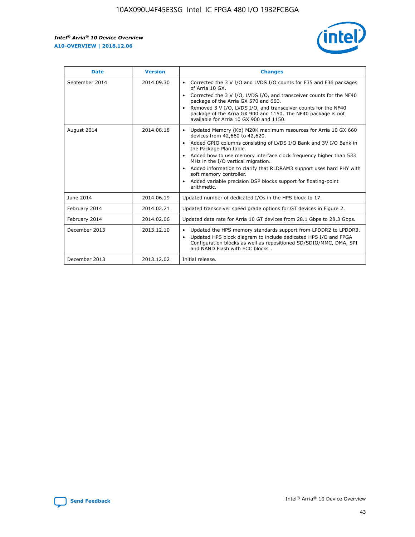

| <b>Date</b>    | <b>Version</b> | <b>Changes</b>                                                                                                                                                                                                                                                                                                                                                                                                                                                                                                                                                   |
|----------------|----------------|------------------------------------------------------------------------------------------------------------------------------------------------------------------------------------------------------------------------------------------------------------------------------------------------------------------------------------------------------------------------------------------------------------------------------------------------------------------------------------------------------------------------------------------------------------------|
| September 2014 | 2014.09.30     | Corrected the 3 V I/O and LVDS I/O counts for F35 and F36 packages<br>$\bullet$<br>of Arria 10 GX.<br>Corrected the 3 V I/O, LVDS I/O, and transceiver counts for the NF40<br>$\bullet$<br>package of the Arria GX 570 and 660.<br>Removed 3 V I/O, LVDS I/O, and transceiver counts for the NF40<br>$\bullet$<br>package of the Arria GX 900 and 1150. The NF40 package is not<br>available for Arria 10 GX 900 and 1150.                                                                                                                                       |
| August 2014    | 2014.08.18     | Updated Memory (Kb) M20K maximum resources for Arria 10 GX 660<br>$\bullet$<br>devices from 42,660 to 42,620.<br>Added GPIO columns consisting of LVDS I/O Bank and 3V I/O Bank in<br>$\bullet$<br>the Package Plan table.<br>Added how to use memory interface clock frequency higher than 533<br>$\bullet$<br>MHz in the I/O vertical migration.<br>Added information to clarify that RLDRAM3 support uses hard PHY with<br>$\bullet$<br>soft memory controller.<br>Added variable precision DSP blocks support for floating-point<br>$\bullet$<br>arithmetic. |
| June 2014      | 2014.06.19     | Updated number of dedicated I/Os in the HPS block to 17.                                                                                                                                                                                                                                                                                                                                                                                                                                                                                                         |
| February 2014  | 2014.02.21     | Updated transceiver speed grade options for GT devices in Figure 2.                                                                                                                                                                                                                                                                                                                                                                                                                                                                                              |
| February 2014  | 2014.02.06     | Updated data rate for Arria 10 GT devices from 28.1 Gbps to 28.3 Gbps.                                                                                                                                                                                                                                                                                                                                                                                                                                                                                           |
| December 2013  | 2013.12.10     | Updated the HPS memory standards support from LPDDR2 to LPDDR3.<br>$\bullet$<br>Updated HPS block diagram to include dedicated HPS I/O and FPGA<br>$\bullet$<br>Configuration blocks as well as repositioned SD/SDIO/MMC, DMA, SPI<br>and NAND Flash with ECC blocks.                                                                                                                                                                                                                                                                                            |
| December 2013  | 2013.12.02     | Initial release.                                                                                                                                                                                                                                                                                                                                                                                                                                                                                                                                                 |